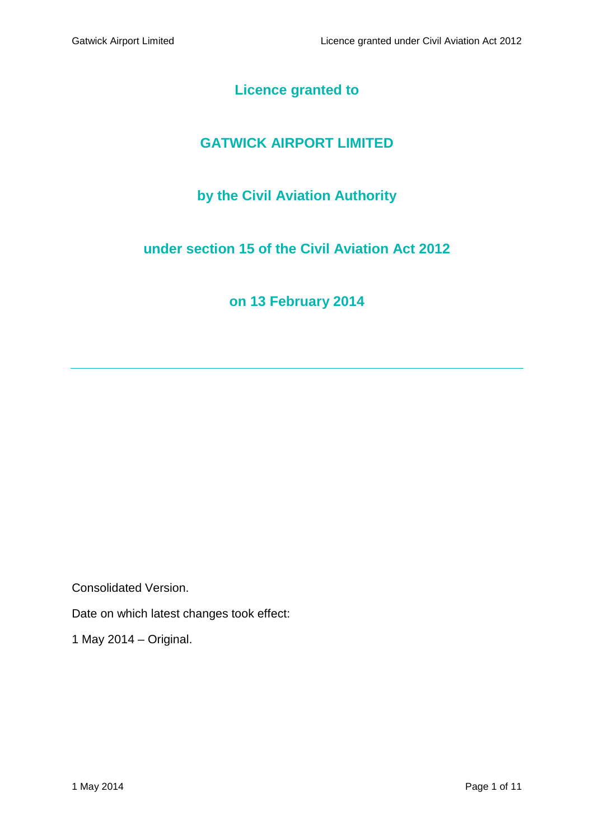# **Licence granted to**

# **GATWICK AIRPORT LIMITED**

# **by the Civil Aviation Authority**

## **under section 15 of the Civil Aviation Act 2012**

# **on 13 February 2014**

Consolidated Version.

Date on which latest changes took effect:

1 May 2014 – Original.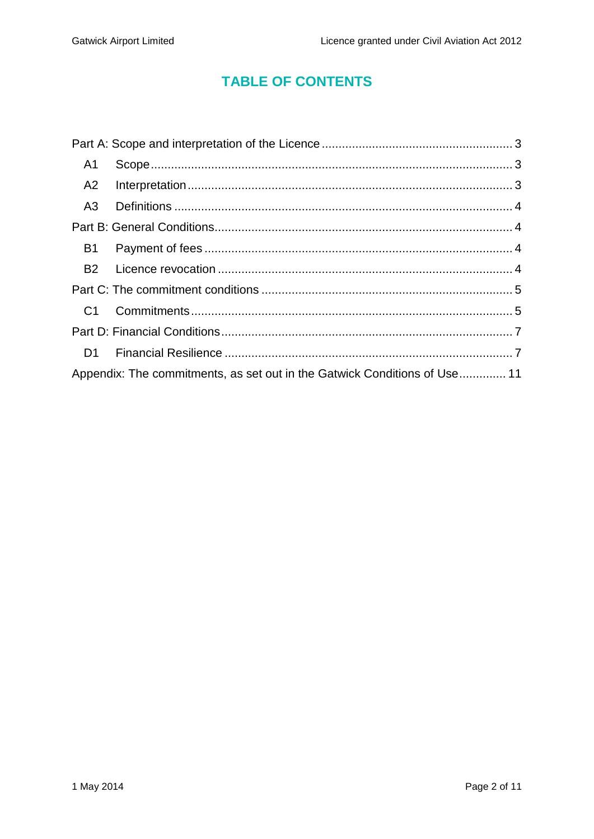# **TABLE OF CONTENTS**

| A1 |                                                                           |  |
|----|---------------------------------------------------------------------------|--|
| A2 |                                                                           |  |
|    |                                                                           |  |
|    |                                                                           |  |
| B1 |                                                                           |  |
|    |                                                                           |  |
|    |                                                                           |  |
|    |                                                                           |  |
|    |                                                                           |  |
|    |                                                                           |  |
|    | Appendix: The commitments, as set out in the Gatwick Conditions of Use 11 |  |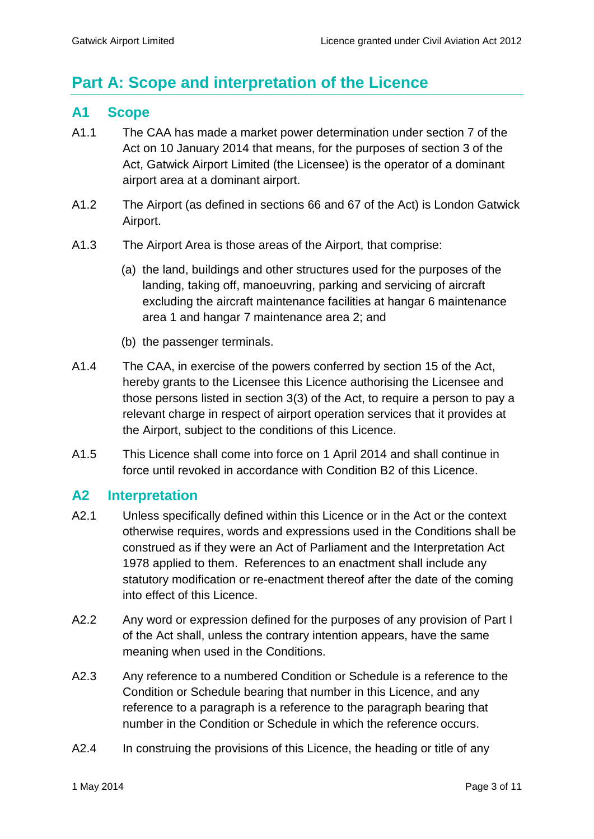# <span id="page-2-0"></span>**Part A: Scope and interpretation of the Licence**

### <span id="page-2-1"></span>**A1 Scope**

- A1.1 The CAA has made a market power determination under section 7 of the Act on 10 January 2014 that means, for the purposes of section 3 of the Act, Gatwick Airport Limited (the Licensee) is the operator of a dominant airport area at a dominant airport.
- A1.2 The Airport (as defined in sections 66 and 67 of the Act) is London Gatwick Airport.
- A1.3 The Airport Area is those areas of the Airport, that comprise:
	- (a) the land, buildings and other structures used for the purposes of the landing, taking off, manoeuvring, parking and servicing of aircraft excluding the aircraft maintenance facilities at hangar 6 maintenance area 1 and hangar 7 maintenance area 2; and
	- (b) the passenger terminals.
- A1.4 The CAA, in exercise of the powers conferred by section 15 of the Act, hereby grants to the Licensee this Licence authorising the Licensee and those persons listed in section 3(3) of the Act, to require a person to pay a relevant charge in respect of airport operation services that it provides at the Airport, subject to the conditions of this Licence.
- A1.5 This Licence shall come into force on 1 April 2014 and shall continue in force until revoked in accordance with Condition B2 of this Licence.

### <span id="page-2-2"></span>**A2 Interpretation**

- A2.1 Unless specifically defined within this Licence or in the Act or the context otherwise requires, words and expressions used in the Conditions shall be construed as if they were an Act of Parliament and the Interpretation Act 1978 applied to them. References to an enactment shall include any statutory modification or re-enactment thereof after the date of the coming into effect of this Licence.
- A2.2 Any word or expression defined for the purposes of any provision of Part I of the Act shall, unless the contrary intention appears, have the same meaning when used in the Conditions.
- A2.3 Any reference to a numbered Condition or Schedule is a reference to the Condition or Schedule bearing that number in this Licence, and any reference to a paragraph is a reference to the paragraph bearing that number in the Condition or Schedule in which the reference occurs.
- A2.4 In construing the provisions of this Licence, the heading or title of any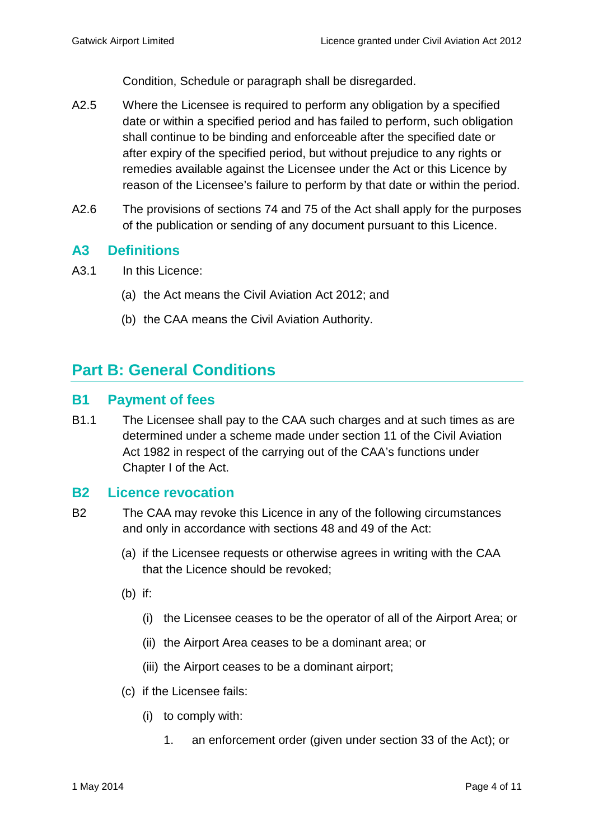Condition, Schedule or paragraph shall be disregarded.

- A2.5 Where the Licensee is required to perform any obligation by a specified date or within a specified period and has failed to perform, such obligation shall continue to be binding and enforceable after the specified date or after expiry of the specified period, but without prejudice to any rights or remedies available against the Licensee under the Act or this Licence by reason of the Licensee's failure to perform by that date or within the period.
- A2.6 The provisions of sections 74 and 75 of the Act shall apply for the purposes of the publication or sending of any document pursuant to this Licence.

### <span id="page-3-0"></span>**A3 Definitions**

- A3.1 In this Licence:
	- (a) the Act means the Civil Aviation Act 2012; and
	- (b) the CAA means the Civil Aviation Authority.

# <span id="page-3-1"></span>**Part B: General Conditions**

### <span id="page-3-2"></span>**B1 Payment of fees**

B1.1 The Licensee shall pay to the CAA such charges and at such times as are determined under a scheme made under section 11 of the Civil Aviation Act 1982 in respect of the carrying out of the CAA's functions under Chapter I of the Act.

### <span id="page-3-3"></span>**B2 Licence revocation**

- B2 The CAA may revoke this Licence in any of the following circumstances and only in accordance with sections 48 and 49 of the Act:
	- (a) if the Licensee requests or otherwise agrees in writing with the CAA that the Licence should be revoked;
	- (b) if:
		- (i) the Licensee ceases to be the operator of all of the Airport Area; or
		- (ii) the Airport Area ceases to be a dominant area; or
		- (iii) the Airport ceases to be a dominant airport;
	- (c) if the Licensee fails:
		- (i) to comply with:
			- 1. an enforcement order (given under section 33 of the Act); or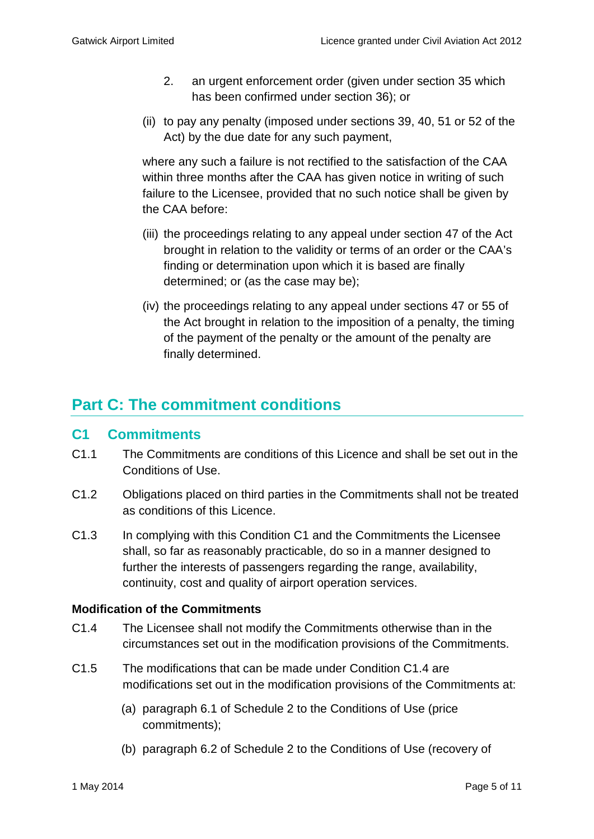- 2. an urgent enforcement order (given under section 35 which has been confirmed under section 36); or
- (ii) to pay any penalty (imposed under sections 39, 40, 51 or 52 of the Act) by the due date for any such payment,

where any such a failure is not rectified to the satisfaction of the CAA within three months after the CAA has given notice in writing of such failure to the Licensee, provided that no such notice shall be given by the CAA before:

- (iii) the proceedings relating to any appeal under section 47 of the Act brought in relation to the validity or terms of an order or the CAA's finding or determination upon which it is based are finally determined; or (as the case may be);
- (iv) the proceedings relating to any appeal under sections 47 or 55 of the Act brought in relation to the imposition of a penalty, the timing of the payment of the penalty or the amount of the penalty are finally determined.

# <span id="page-4-0"></span>**Part C: The commitment conditions**

### <span id="page-4-1"></span>**C1 Commitments**

- C1.1 The Commitments are conditions of this Licence and shall be set out in the Conditions of Use.
- C1.2 Obligations placed on third parties in the Commitments shall not be treated as conditions of this Licence.
- C1.3 In complying with this Condition C1 and the Commitments the Licensee shall, so far as reasonably practicable, do so in a manner designed to further the interests of passengers regarding the range, availability, continuity, cost and quality of airport operation services.

### **Modification of the Commitments**

- C1.4 The Licensee shall not modify the Commitments otherwise than in the circumstances set out in the modification provisions of the Commitments.
- C1.5 The modifications that can be made under Condition C1.4 are modifications set out in the modification provisions of the Commitments at:
	- (a) paragraph 6.1 of Schedule 2 to the Conditions of Use (price commitments);
	- (b) paragraph 6.2 of Schedule 2 to the Conditions of Use (recovery of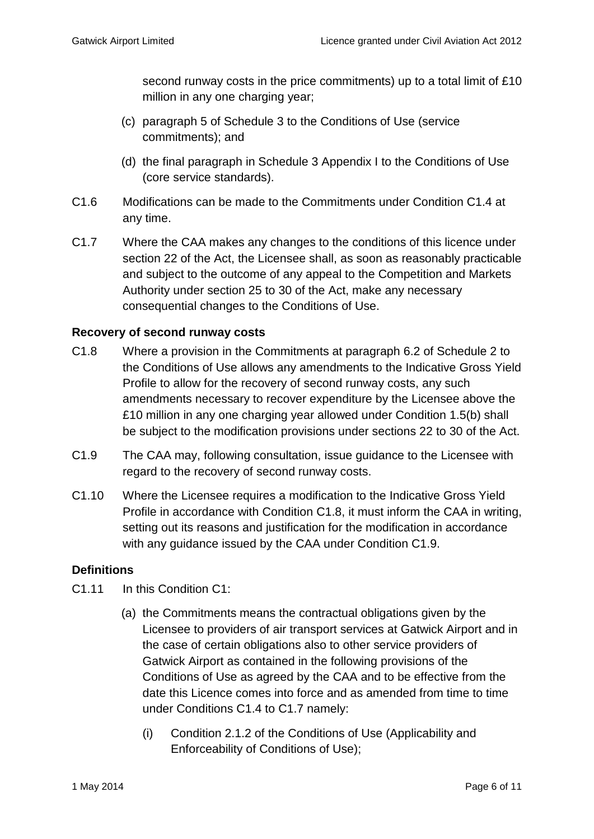second runway costs in the price commitments) up to a total limit of £10 million in any one charging year;

- (c) paragraph 5 of Schedule 3 to the Conditions of Use (service commitments); and
- (d) the final paragraph in Schedule 3 Appendix I to the Conditions of Use (core service standards).
- C1.6 Modifications can be made to the Commitments under Condition C1.4 at any time.
- C1.7 Where the CAA makes any changes to the conditions of this licence under section 22 of the Act, the Licensee shall, as soon as reasonably practicable and subject to the outcome of any appeal to the Competition and Markets Authority under section 25 to 30 of the Act, make any necessary consequential changes to the Conditions of Use.

### **Recovery of second runway costs**

- C1.8 Where a provision in the Commitments at paragraph 6.2 of Schedule 2 to the Conditions of Use allows any amendments to the Indicative Gross Yield Profile to allow for the recovery of second runway costs, any such amendments necessary to recover expenditure by the Licensee above the £10 million in any one charging year allowed under Condition 1.5(b) shall be subject to the modification provisions under sections 22 to 30 of the Act.
- C1.9 The CAA may, following consultation, issue guidance to the Licensee with regard to the recovery of second runway costs.
- C1.10 Where the Licensee requires a modification to the Indicative Gross Yield Profile in accordance with Condition C1.8, it must inform the CAA in writing, setting out its reasons and justification for the modification in accordance with any guidance issued by the CAA under Condition C1.9.

### **Definitions**

- C1.11 In this Condition C1:
	- (a) the Commitments means the contractual obligations given by the Licensee to providers of air transport services at Gatwick Airport and in the case of certain obligations also to other service providers of Gatwick Airport as contained in the following provisions of the Conditions of Use as agreed by the CAA and to be effective from the date this Licence comes into force and as amended from time to time under Conditions C1.4 to C1.7 namely:
		- (i) Condition 2.1.2 of the Conditions of Use (Applicability and Enforceability of Conditions of Use);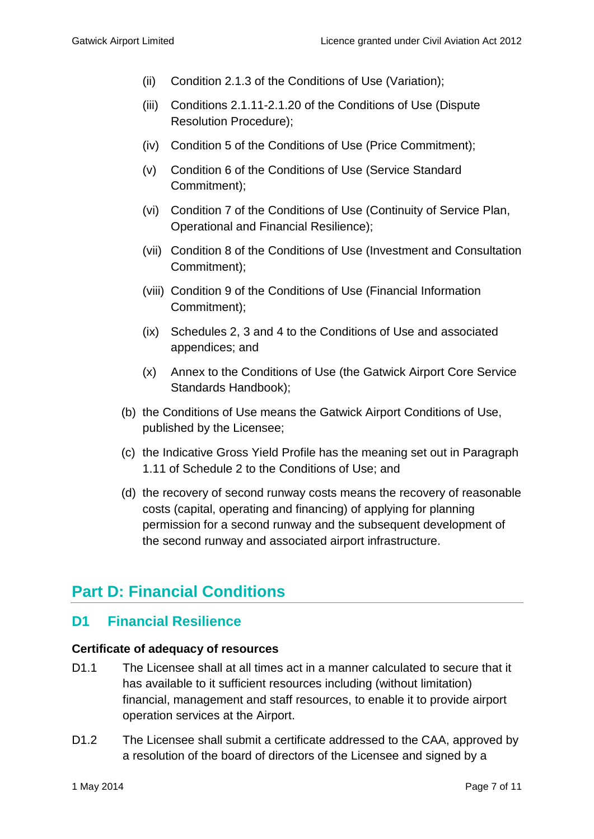- (ii) Condition 2.1.3 of the Conditions of Use (Variation);
- (iii) Conditions 2.1.11-2.1.20 of the Conditions of Use (Dispute Resolution Procedure);
- (iv) Condition 5 of the Conditions of Use (Price Commitment);
- (v) Condition 6 of the Conditions of Use (Service Standard Commitment);
- (vi) Condition 7 of the Conditions of Use (Continuity of Service Plan, Operational and Financial Resilience);
- (vii) Condition 8 of the Conditions of Use (Investment and Consultation Commitment);
- (viii) Condition 9 of the Conditions of Use (Financial Information Commitment);
- (ix) Schedules 2, 3 and 4 to the Conditions of Use and associated appendices; and
- (x) Annex to the Conditions of Use (the Gatwick Airport Core Service Standards Handbook);
- (b) the Conditions of Use means the Gatwick Airport Conditions of Use, published by the Licensee;
- (c) the Indicative Gross Yield Profile has the meaning set out in Paragraph 1.11 of Schedule 2 to the Conditions of Use; and
- (d) the recovery of second runway costs means the recovery of reasonable costs (capital, operating and financing) of applying for planning permission for a second runway and the subsequent development of the second runway and associated airport infrastructure.

# <span id="page-6-0"></span>**Part D: Financial Conditions**

### <span id="page-6-1"></span>**D1 Financial Resilience**

### **Certificate of adequacy of resources**

- D1.1 The Licensee shall at all times act in a manner calculated to secure that it has available to it sufficient resources including (without limitation) financial, management and staff resources, to enable it to provide airport operation services at the Airport.
- D1.2 The Licensee shall submit a certificate addressed to the CAA, approved by a resolution of the board of directors of the Licensee and signed by a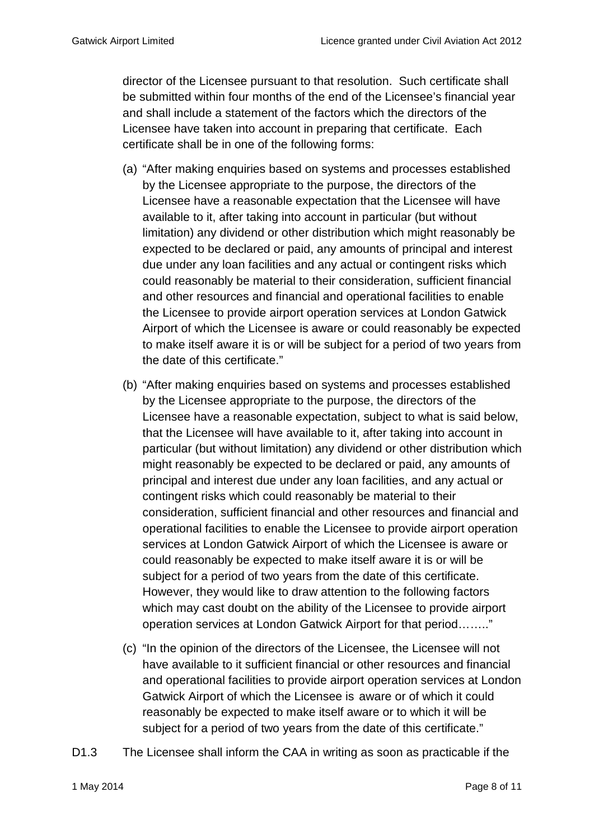director of the Licensee pursuant to that resolution. Such certificate shall be submitted within four months of the end of the Licensee's financial year and shall include a statement of the factors which the directors of the Licensee have taken into account in preparing that certificate. Each certificate shall be in one of the following forms:

- (a) "After making enquiries based on systems and processes established by the Licensee appropriate to the purpose, the directors of the Licensee have a reasonable expectation that the Licensee will have available to it, after taking into account in particular (but without limitation) any dividend or other distribution which might reasonably be expected to be declared or paid, any amounts of principal and interest due under any loan facilities and any actual or contingent risks which could reasonably be material to their consideration, sufficient financial and other resources and financial and operational facilities to enable the Licensee to provide airport operation services at London Gatwick Airport of which the Licensee is aware or could reasonably be expected to make itself aware it is or will be subject for a period of two years from the date of this certificate."
- (b) "After making enquiries based on systems and processes established by the Licensee appropriate to the purpose, the directors of the Licensee have a reasonable expectation, subject to what is said below, that the Licensee will have available to it, after taking into account in particular (but without limitation) any dividend or other distribution which might reasonably be expected to be declared or paid, any amounts of principal and interest due under any loan facilities, and any actual or contingent risks which could reasonably be material to their consideration, sufficient financial and other resources and financial and operational facilities to enable the Licensee to provide airport operation services at London Gatwick Airport of which the Licensee is aware or could reasonably be expected to make itself aware it is or will be subject for a period of two years from the date of this certificate. However, they would like to draw attention to the following factors which may cast doubt on the ability of the Licensee to provide airport operation services at London Gatwick Airport for that period…….."
- (c) "In the opinion of the directors of the Licensee, the Licensee will not have available to it sufficient financial or other resources and financial and operational facilities to provide airport operation services at London Gatwick Airport of which the Licensee is aware or of which it could reasonably be expected to make itself aware or to which it will be subject for a period of two years from the date of this certificate."
- D1.3 The Licensee shall inform the CAA in writing as soon as practicable if the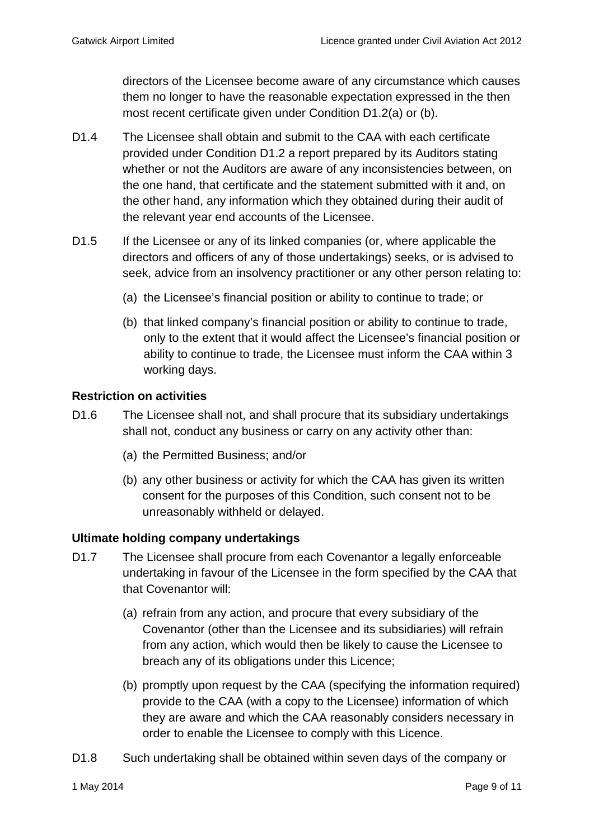directors of the Licensee become aware of any circumstance which causes them no longer to have the reasonable expectation expressed in the then most recent certificate given under Condition D1.2(a) or (b).

- D1.4 The Licensee shall obtain and submit to the CAA with each certificate provided under Condition D1.2 a report prepared by its Auditors stating whether or not the Auditors are aware of any inconsistencies between, on the one hand, that certificate and the statement submitted with it and, on the other hand, any information which they obtained during their audit of the relevant year end accounts of the Licensee.
- D1.5 If the Licensee or any of its linked companies (or, where applicable the directors and officers of any of those undertakings) seeks, or is advised to seek, advice from an insolvency practitioner or any other person relating to:
	- (a) the Licensee's financial position or ability to continue to trade; or
	- (b) that linked company's financial position or ability to continue to trade, only to the extent that it would affect the Licensee's financial position or ability to continue to trade, the Licensee must inform the CAA within 3 working days.

### **Restriction on activities**

- D1.6 The Licensee shall not, and shall procure that its subsidiary undertakings shall not, conduct any business or carry on any activity other than:
	- (a) the Permitted Business; and/or
	- (b) any other business or activity for which the CAA has given its written consent for the purposes of this Condition, such consent not to be unreasonably withheld or delayed.

### **Ultimate holding company undertakings**

- D1.7 The Licensee shall procure from each Covenantor a legally enforceable undertaking in favour of the Licensee in the form specified by the CAA that that Covenantor will:
	- (a) refrain from any action, and procure that every subsidiary of the Covenantor (other than the Licensee and its subsidiaries) will refrain from any action, which would then be likely to cause the Licensee to breach any of its obligations under this Licence;
	- (b) promptly upon request by the CAA (specifying the information required) provide to the CAA (with a copy to the Licensee) information of which they are aware and which the CAA reasonably considers necessary in order to enable the Licensee to comply with this Licence.
- D1.8 Such undertaking shall be obtained within seven days of the company or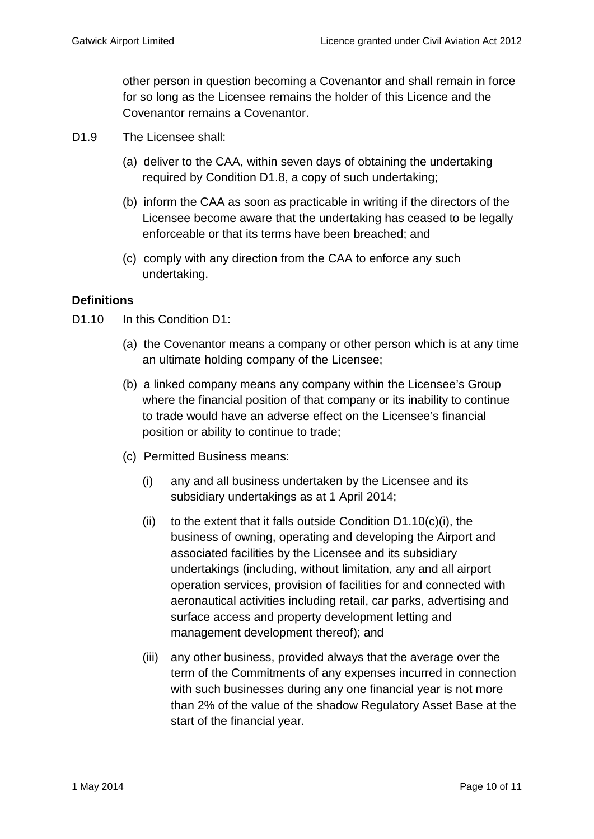other person in question becoming a Covenantor and shall remain in force for so long as the Licensee remains the holder of this Licence and the Covenantor remains a Covenantor.

- D<sub>1.9</sub> The Licensee shall:
	- (a) deliver to the CAA, within seven days of obtaining the undertaking required by Condition D1.8, a copy of such undertaking;
	- (b) inform the CAA as soon as practicable in writing if the directors of the Licensee become aware that the undertaking has ceased to be legally enforceable or that its terms have been breached; and
	- (c) comply with any direction from the CAA to enforce any such undertaking.

### **Definitions**

D<sub>1.10</sub> In this Condition D<sub>1</sub>:

- (a) the Covenantor means a company or other person which is at any time an ultimate holding company of the Licensee;
- (b) a linked company means any company within the Licensee's Group where the financial position of that company or its inability to continue to trade would have an adverse effect on the Licensee's financial position or ability to continue to trade;
- (c) Permitted Business means:
	- (i) any and all business undertaken by the Licensee and its subsidiary undertakings as at 1 April 2014;
	- (ii) to the extent that it falls outside Condition  $D1.10(c)(i)$ , the business of owning, operating and developing the Airport and associated facilities by the Licensee and its subsidiary undertakings (including, without limitation, any and all airport operation services, provision of facilities for and connected with aeronautical activities including retail, car parks, advertising and surface access and property development letting and management development thereof); and
	- (iii) any other business, provided always that the average over the term of the Commitments of any expenses incurred in connection with such businesses during any one financial year is not more than 2% of the value of the shadow Regulatory Asset Base at the start of the financial year.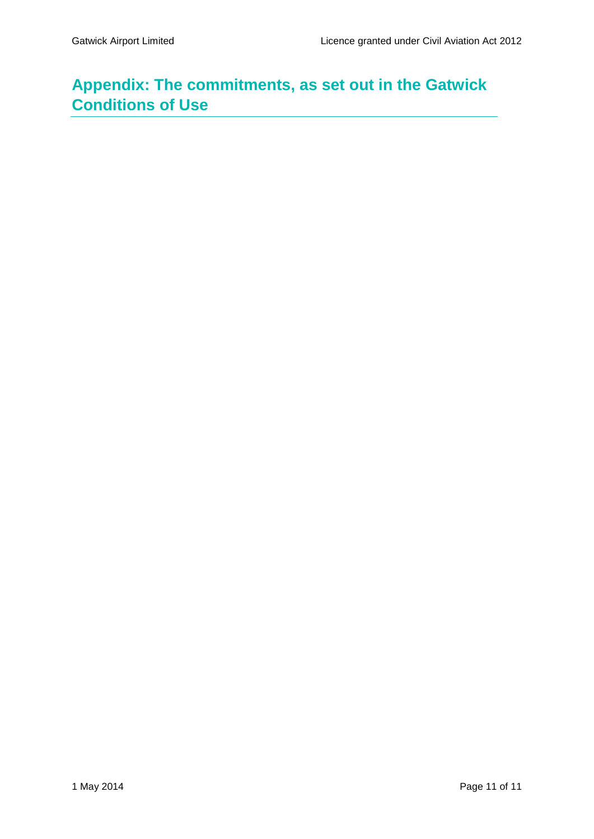# <span id="page-10-0"></span>**Appendix: The commitments, as set out in the Gatwick Conditions of Use**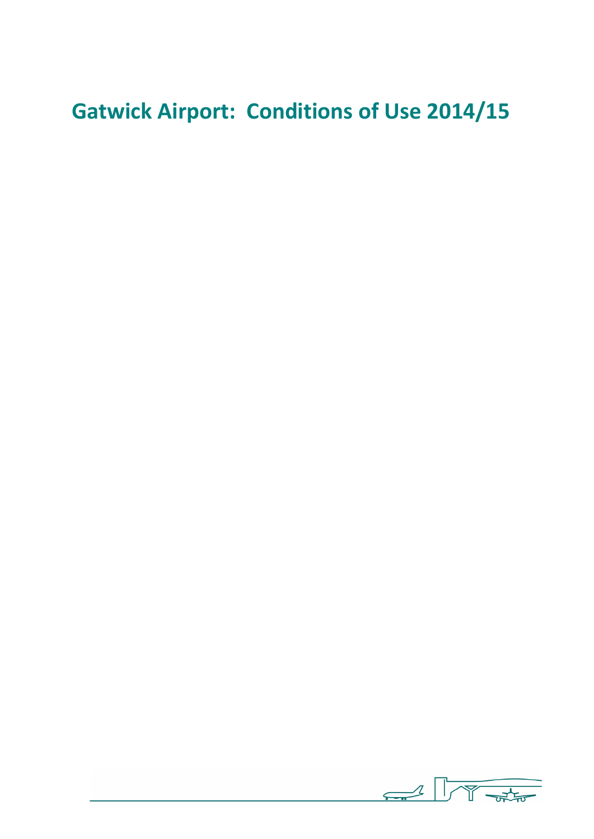# **Gatwick Airport: Conditions of Use 2014/15**

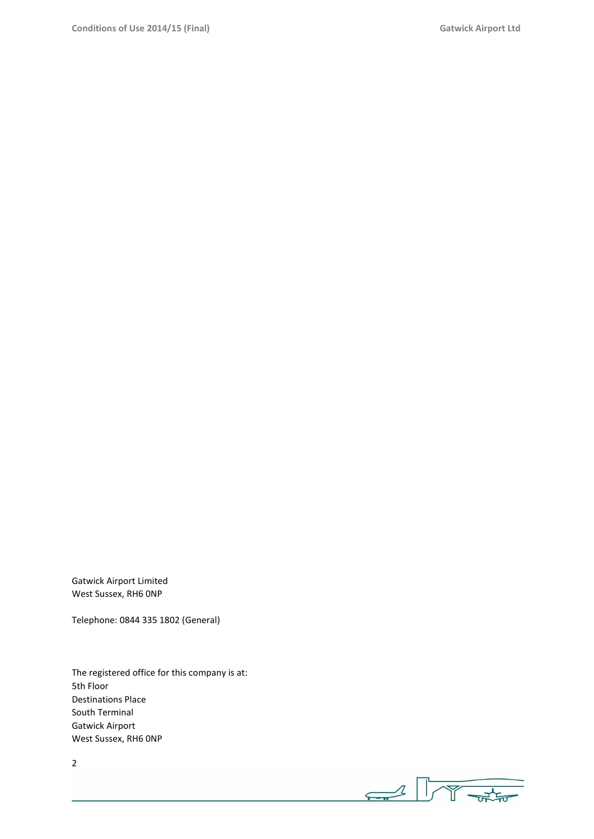Gatwick Airport Limited West Sussex, RH6 0NP

Telephone: 0844 335 1802 (General)

The registered office for this company is at: 5th Floor Destinations Place South Terminal Gatwick Airport West Sussex, RH6 0NP

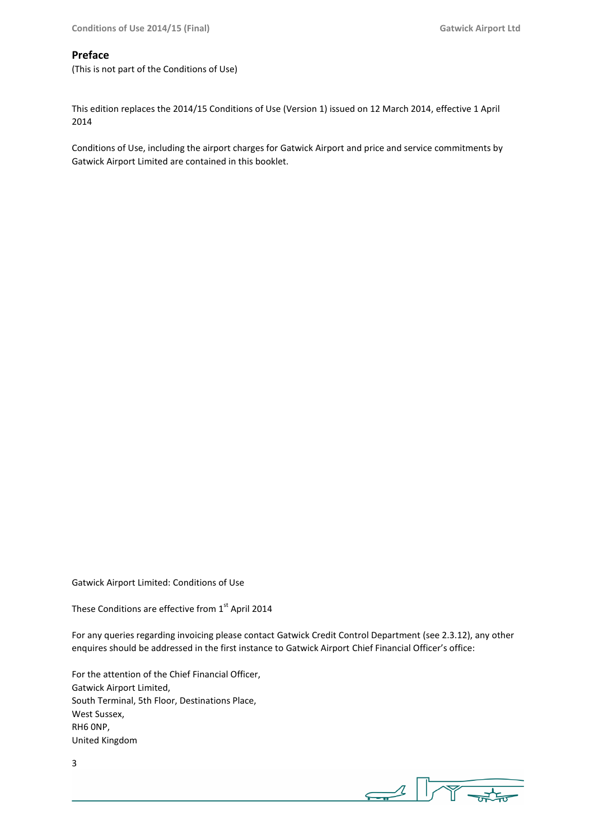#### **Preface**

(This is not part of the Conditions of Use)

This edition replaces the 2014/15 Conditions of Use (Version 1) issued on 12 March 2014, effective 1 April 2014

Conditions of Use, including the airport charges for Gatwick Airport and price and service commitments by Gatwick Airport Limited are contained in this booklet.

Gatwick Airport Limited: Conditions of Use

These Conditions are effective from 1<sup>st</sup> April 2014

For any queries regarding invoicing please contact Gatwick Credit Control Department (see 2.3.12), any other enquires should be addressed in the first instance to Gatwick Airport Chief Financial Officer's office:

For the attention of the Chief Financial Officer, Gatwick Airport Limited, South Terminal, 5th Floor, Destinations Place, West Sussex, RH6 0NP, United Kingdom

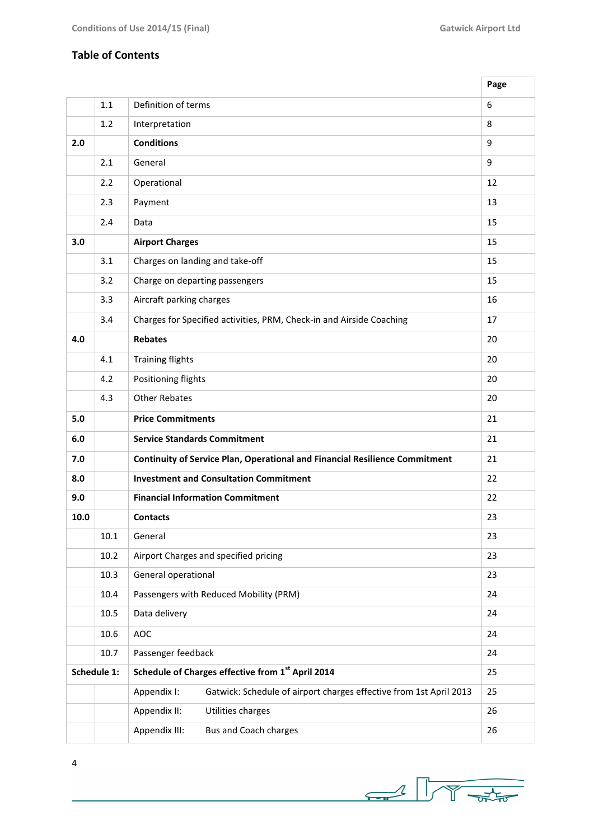٦

### **Table of Contents**

|      |             |                                                                                   | Page |
|------|-------------|-----------------------------------------------------------------------------------|------|
|      | 1.1         | Definition of terms                                                               | 6    |
|      | 1.2         | Interpretation                                                                    | 8    |
| 2.0  |             | <b>Conditions</b>                                                                 | 9    |
|      | 2.1         | General                                                                           | 9    |
|      | 2.2         | Operational                                                                       | 12   |
|      | 2.3         | Payment                                                                           | 13   |
|      | 2.4         | Data                                                                              | 15   |
| 3.0  |             | <b>Airport Charges</b>                                                            | 15   |
|      | 3.1         | Charges on landing and take-off                                                   | 15   |
|      | 3.2         | Charge on departing passengers                                                    | 15   |
|      | 3.3         | Aircraft parking charges                                                          | 16   |
|      | 3.4         | Charges for Specified activities, PRM, Check-in and Airside Coaching              | 17   |
| 4.0  |             | <b>Rebates</b>                                                                    | 20   |
|      | 4.1         | <b>Training flights</b>                                                           | 20   |
|      | 4.2         | Positioning flights                                                               | 20   |
|      | 4.3         | <b>Other Rebates</b>                                                              | 20   |
|      |             | <b>Price Commitments</b>                                                          |      |
| 5.0  |             |                                                                                   | 21   |
| 6.0  |             | <b>Service Standards Commitment</b>                                               | 21   |
| 7.0  |             | Continuity of Service Plan, Operational and Financial Resilience Commitment       | 21   |
| 8.0  |             | <b>Investment and Consultation Commitment</b>                                     | 22   |
| 9.0  |             | <b>Financial Information Commitment</b>                                           | 22   |
| 10.0 |             | <b>Contacts</b>                                                                   | 23   |
|      | 10.1        | General                                                                           | 23   |
|      | 10.2        | Airport Charges and specified pricing                                             | 23   |
|      | 10.3        | General operational                                                               | 23   |
|      | 10.4        | Passengers with Reduced Mobility (PRM)                                            | 24   |
|      | 10.5        | Data delivery                                                                     | 24   |
|      | 10.6        | AOC                                                                               | 24   |
|      | 10.7        | Passenger feedback                                                                | 24   |
|      | Schedule 1: | Schedule of Charges effective from 1st April 2014                                 | 25   |
|      |             | Gatwick: Schedule of airport charges effective from 1st April 2013<br>Appendix I: | 25   |
|      |             | Utilities charges<br>Appendix II:                                                 | 26   |

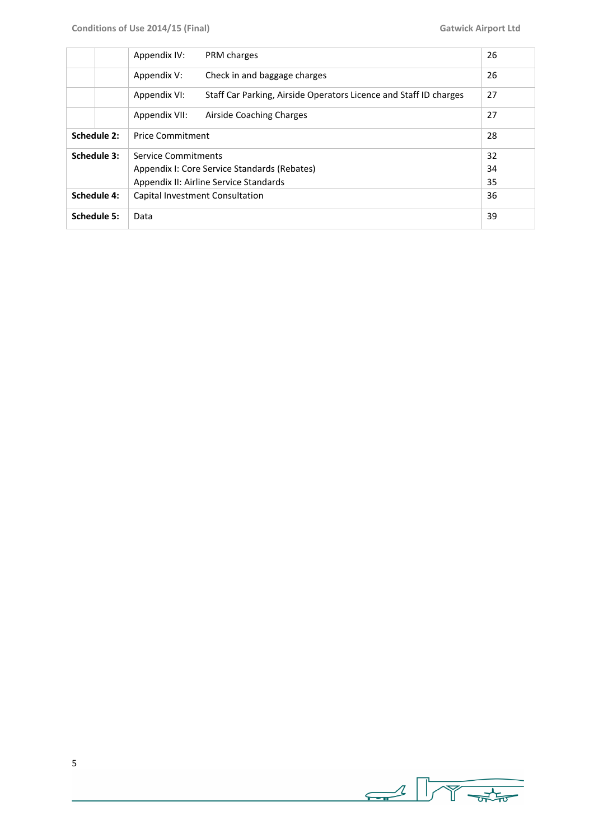|                     |             | Appendix IV:            | PRM charges                                                       | 26 |
|---------------------|-------------|-------------------------|-------------------------------------------------------------------|----|
| Appendix V:         |             |                         | Check in and baggage charges                                      | 26 |
|                     |             | Appendix VI:            | Staff Car Parking, Airside Operators Licence and Staff ID charges | 27 |
|                     |             | Appendix VII:           | Airside Coaching Charges                                          | 27 |
|                     | Schedule 2: | <b>Price Commitment</b> |                                                                   | 28 |
|                     | Schedule 3: | Service Commitments     |                                                                   | 32 |
|                     |             |                         | Appendix I: Core Service Standards (Rebates)                      | 34 |
|                     |             |                         | Appendix II: Airline Service Standards                            | 35 |
|                     | Schedule 4: |                         | Capital Investment Consultation                                   | 36 |
| Schedule 5:<br>Data |             |                         |                                                                   | 39 |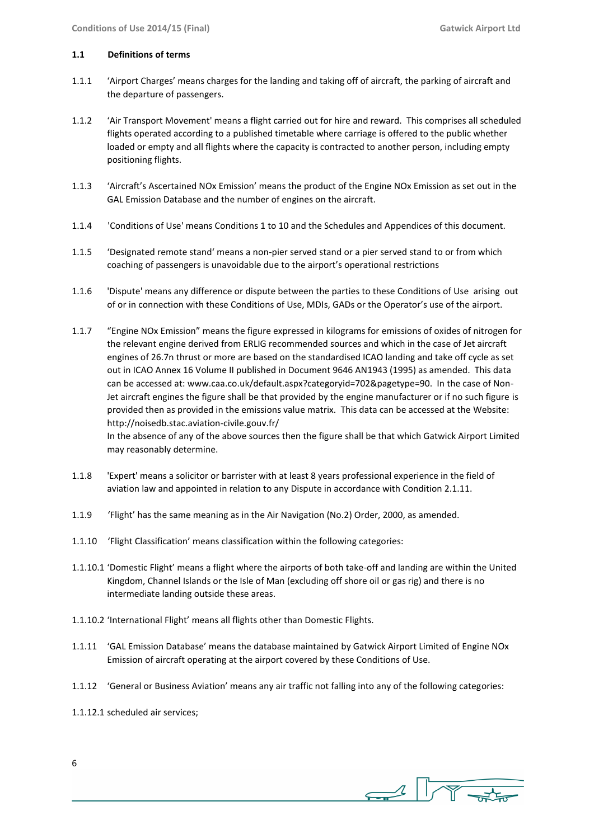#### **1.1 Definitions of terms**

- 1.1.1 'Airport Charges' means charges for the landing and taking off of aircraft, the parking of aircraft and the departure of passengers.
- 1.1.2 'Air Transport Movement' means a flight carried out for hire and reward. This comprises all scheduled flights operated according to a published timetable where carriage is offered to the public whether loaded or empty and all flights where the capacity is contracted to another person, including empty positioning flights.
- 1.1.3 'Aircraft's Ascertained NOx Emission' means the product of the Engine NOx Emission as set out in the GAL Emission Database and the number of engines on the aircraft.
- 1.1.4 'Conditions of Use' means Conditions 1 to 10 and the Schedules and Appendices of this document.
- 1.1.5 'Designated remote stand' means a non-pier served stand or a pier served stand to or from which coaching of passengers is unavoidable due to the airport's operational restrictions
- 1.1.6 'Dispute' means any difference or dispute between the parties to these Conditions of Use arising out of or in connection with these Conditions of Use, MDIs, GADs or the Operator's use of the airport.
- 1.1.7 "Engine NOx Emission" means the figure expressed in kilograms for emissions of oxides of nitrogen for the relevant engine derived from ERLIG recommended sources and which in the case of Jet aircraft engines of 26.7n thrust or more are based on the standardised ICAO landing and take off cycle as set out in ICAO Annex 16 Volume II published in Document 9646 AN1943 (1995) as amended. This data can be accessed at: www.caa.co.uk/default.aspx?categoryid=702&pagetype=90. In the case of Non-Jet aircraft engines the figure shall be that provided by the engine manufacturer or if no such figure is provided then as provided in the emissions value matrix. This data can be accessed at the Website: http://noisedb.stac.aviation-civile.gouv.fr/

In the absence of any of the above sources then the figure shall be that which Gatwick Airport Limited may reasonably determine.

- 1.1.8 'Expert' means a solicitor or barrister with at least 8 years professional experience in the field of aviation law and appointed in relation to any Dispute in accordance with Condition 2.1.11.
- 1.1.9 'Flight' has the same meaning as in the Air Navigation (No.2) Order, 2000, as amended.
- 1.1.10 'Flight Classification' means classification within the following categories:
- 1.1.10.1 'Domestic Flight' means a flight where the airports of both take-off and landing are within the United Kingdom, Channel Islands or the Isle of Man (excluding off shore oil or gas rig) and there is no intermediate landing outside these areas.
- 1.1.10.2 'International Flight' means all flights other than Domestic Flights.
- 1.1.11 'GAL Emission Database' means the database maintained by Gatwick Airport Limited of Engine NOx Emission of aircraft operating at the airport covered by these Conditions of Use.
- 1.1.12 'General or Business Aviation' means any air traffic not falling into any of the following categories:
- 1.1.12.1 scheduled air services;

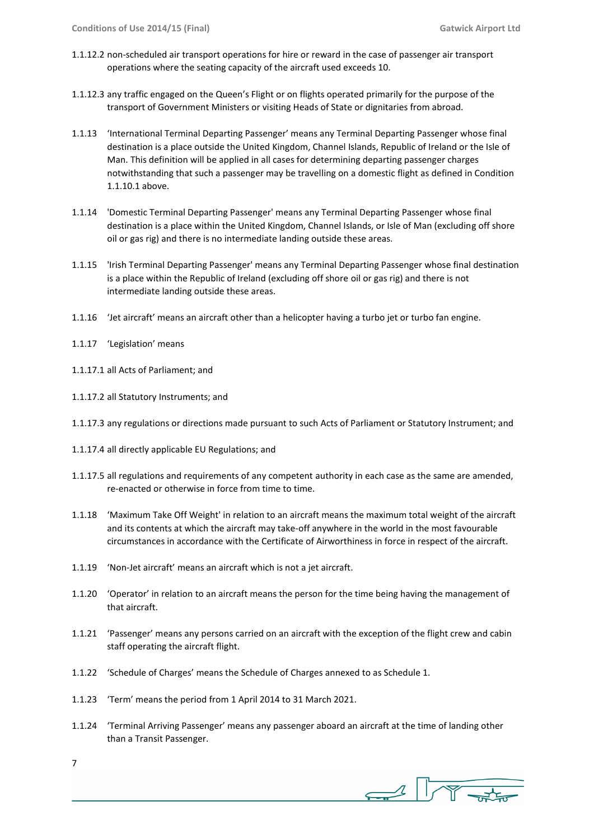- 1.1.12.2 non-scheduled air transport operations for hire or reward in the case of passenger air transport operations where the seating capacity of the aircraft used exceeds 10.
- 1.1.12.3 any traffic engaged on the Queen's Flight or on flights operated primarily for the purpose of the transport of Government Ministers or visiting Heads of State or dignitaries from abroad.
- 1.1.13 'International Terminal Departing Passenger' means any Terminal Departing Passenger whose final destination is a place outside the United Kingdom, Channel Islands, Republic of Ireland or the Isle of Man. This definition will be applied in all cases for determining departing passenger charges notwithstanding that such a passenger may be travelling on a domestic flight as defined in Condition 1.1.10.1 above.
- 1.1.14 'Domestic Terminal Departing Passenger' means any Terminal Departing Passenger whose final destination is a place within the United Kingdom, Channel Islands, or Isle of Man (excluding off shore oil or gas rig) and there is no intermediate landing outside these areas.
- 1.1.15 'Irish Terminal Departing Passenger' means any Terminal Departing Passenger whose final destination is a place within the Republic of Ireland (excluding off shore oil or gas rig) and there is not intermediate landing outside these areas.
- 1.1.16 'Jet aircraft' means an aircraft other than a helicopter having a turbo jet or turbo fan engine.
- 1.1.17 'Legislation' means
- 1.1.17.1 all Acts of Parliament; and
- 1.1.17.2 all Statutory Instruments; and
- 1.1.17.3 any regulations or directions made pursuant to such Acts of Parliament or Statutory Instrument; and
- 1.1.17.4 all directly applicable EU Regulations; and
- 1.1.17.5 all regulations and requirements of any competent authority in each case as the same are amended, re-enacted or otherwise in force from time to time.
- 1.1.18 'Maximum Take Off Weight' in relation to an aircraft means the maximum total weight of the aircraft and its contents at which the aircraft may take-off anywhere in the world in the most favourable circumstances in accordance with the Certificate of Airworthiness in force in respect of the aircraft.
- 1.1.19 'Non-Jet aircraft' means an aircraft which is not a jet aircraft.
- 1.1.20 'Operator' in relation to an aircraft means the person for the time being having the management of that aircraft.
- 1.1.21 'Passenger' means any persons carried on an aircraft with the exception of the flight crew and cabin staff operating the aircraft flight.
- 1.1.22 'Schedule of Charges' means the Schedule of Charges annexed to as Schedule 1.
- 1.1.23 'Term' means the period from 1 April 2014 to 31 March 2021.
- 1.1.24 'Terminal Arriving Passenger' means any passenger aboard an aircraft at the time of landing other than a Transit Passenger.

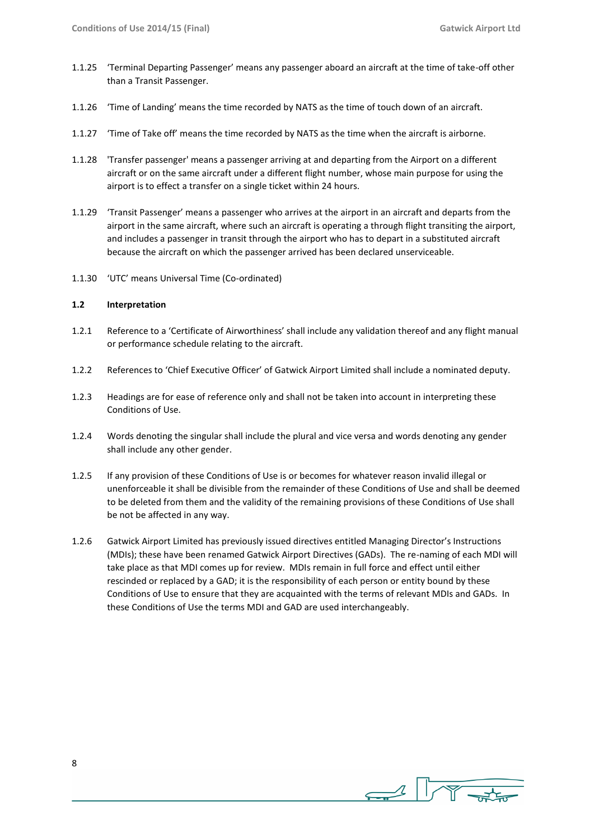- 1.1.25 'Terminal Departing Passenger' means any passenger aboard an aircraft at the time of take-off other than a Transit Passenger.
- 1.1.26 'Time of Landing' means the time recorded by NATS as the time of touch down of an aircraft.
- 1.1.27 'Time of Take off' means the time recorded by NATS as the time when the aircraft is airborne.
- 1.1.28 'Transfer passenger' means a passenger arriving at and departing from the Airport on a different aircraft or on the same aircraft under a different flight number, whose main purpose for using the airport is to effect a transfer on a single ticket within 24 hours.
- 1.1.29 'Transit Passenger' means a passenger who arrives at the airport in an aircraft and departs from the airport in the same aircraft, where such an aircraft is operating a through flight transiting the airport, and includes a passenger in transit through the airport who has to depart in a substituted aircraft because the aircraft on which the passenger arrived has been declared unserviceable.
- 1.1.30 'UTC' means Universal Time (Co-ordinated)

#### **1.2 Interpretation**

- 1.2.1 Reference to a 'Certificate of Airworthiness' shall include any validation thereof and any flight manual or performance schedule relating to the aircraft.
- 1.2.2 References to 'Chief Executive Officer' of Gatwick Airport Limited shall include a nominated deputy.
- 1.2.3 Headings are for ease of reference only and shall not be taken into account in interpreting these Conditions of Use.
- 1.2.4 Words denoting the singular shall include the plural and vice versa and words denoting any gender shall include any other gender.
- 1.2.5 If any provision of these Conditions of Use is or becomes for whatever reason invalid illegal or unenforceable it shall be divisible from the remainder of these Conditions of Use and shall be deemed to be deleted from them and the validity of the remaining provisions of these Conditions of Use shall be not be affected in any way.
- 1.2.6 Gatwick Airport Limited has previously issued directives entitled Managing Director's Instructions (MDIs); these have been renamed Gatwick Airport Directives (GADs). The re-naming of each MDI will take place as that MDI comes up for review. MDIs remain in full force and effect until either rescinded or replaced by a GAD; it is the responsibility of each person or entity bound by these Conditions of Use to ensure that they are acquainted with the terms of relevant MDIs and GADs. In these Conditions of Use the terms MDI and GAD are used interchangeably.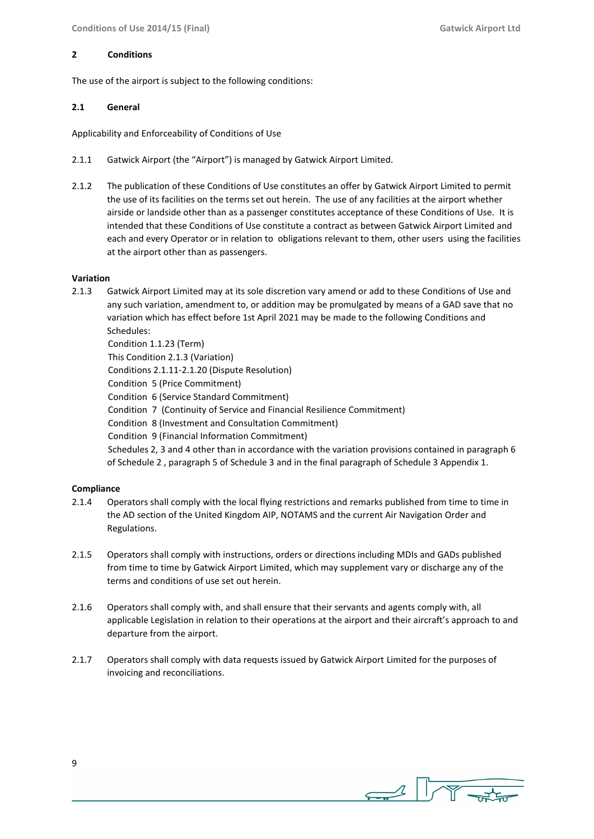#### **2 Conditions**

The use of the airport is subject to the following conditions:

#### **2.1 General**

Applicability and Enforceability of Conditions of Use

- 2.1.1 Gatwick Airport (the "Airport") is managed by Gatwick Airport Limited.
- 2.1.2 The publication of these Conditions of Use constitutes an offer by Gatwick Airport Limited to permit the use of its facilities on the terms set out herein. The use of any facilities at the airport whether airside or landside other than as a passenger constitutes acceptance of these Conditions of Use. It is intended that these Conditions of Use constitute a contract as between Gatwick Airport Limited and each and every Operator or in relation to obligations relevant to them, other users using the facilities at the airport other than as passengers.

#### **Variation**

2.1.3 Gatwick Airport Limited may at its sole discretion vary amend or add to these Conditions of Use and any such variation, amendment to, or addition may be promulgated by means of a GAD save that no variation which has effect before 1st April 2021 may be made to the following Conditions and Schedules: Condition 1.1.23 (Term)

 This Condition 2.1.3 (Variation) Conditions 2.1.11-2.1.20 (Dispute Resolution) Condition 5 (Price Commitment) Condition 6 (Service Standard Commitment) Condition 7 (Continuity of Service and Financial Resilience Commitment) Condition 8 (Investment and Consultation Commitment) Condition 9 (Financial Information Commitment) Schedules 2, 3 and 4 other than in accordance with the variation provisions contained in paragraph 6 of Schedule 2 , paragraph 5 of Schedule 3 and in the final paragraph of Schedule 3 Appendix 1.

#### **Compliance**

- 2.1.4 Operators shall comply with the local flying restrictions and remarks published from time to time in the AD section of the United Kingdom AIP, NOTAMS and the current Air Navigation Order and Regulations.
- 2.1.5 Operators shall comply with instructions, orders or directions including MDIs and GADs published from time to time by Gatwick Airport Limited, which may supplement vary or discharge any of the terms and conditions of use set out herein.
- 2.1.6 Operators shall comply with, and shall ensure that their servants and agents comply with, all applicable Legislation in relation to their operations at the airport and their aircraft's approach to and departure from the airport.
- 2.1.7 Operators shall comply with data requests issued by Gatwick Airport Limited for the purposes of invoicing and reconciliations.

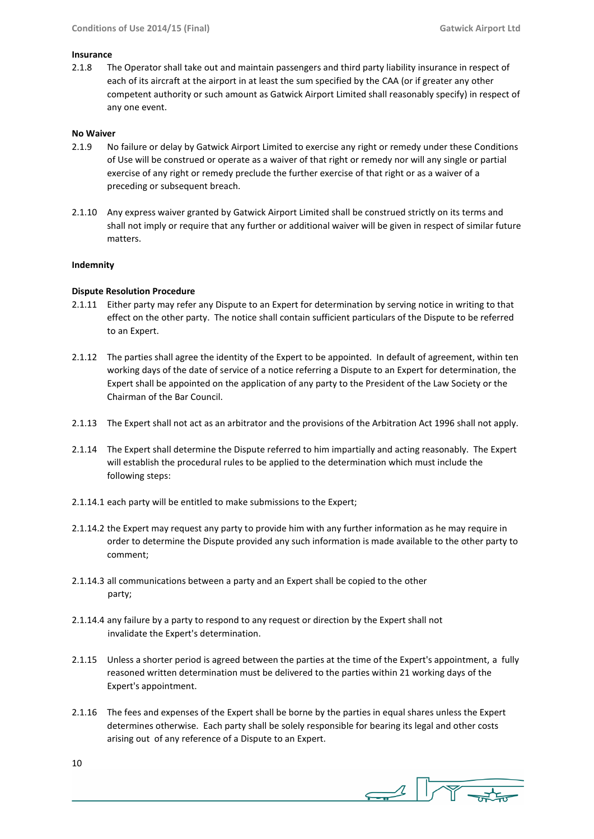#### **Insurance**

2.1.8 The Operator shall take out and maintain passengers and third party liability insurance in respect of each of its aircraft at the airport in at least the sum specified by the CAA (or if greater any other competent authority or such amount as Gatwick Airport Limited shall reasonably specify) in respect of any one event.

#### **No Waiver**

- 2.1.9 No failure or delay by Gatwick Airport Limited to exercise any right or remedy under these Conditions of Use will be construed or operate as a waiver of that right or remedy nor will any single or partial exercise of any right or remedy preclude the further exercise of that right or as a waiver of a preceding or subsequent breach.
- 2.1.10 Any express waiver granted by Gatwick Airport Limited shall be construed strictly on its terms and shall not imply or require that any further or additional waiver will be given in respect of similar future matters.

#### **Indemnity**

#### **Dispute Resolution Procedure**

- 2.1.11 Either party may refer any Dispute to an Expert for determination by serving notice in writing to that effect on the other party. The notice shall contain sufficient particulars of the Dispute to be referred to an Expert.
- 2.1.12 The parties shall agree the identity of the Expert to be appointed. In default of agreement, within ten working days of the date of service of a notice referring a Dispute to an Expert for determination, the Expert shall be appointed on the application of any party to the President of the Law Society or the Chairman of the Bar Council.
- 2.1.13 The Expert shall not act as an arbitrator and the provisions of the Arbitration Act 1996 shall not apply.
- 2.1.14 The Expert shall determine the Dispute referred to him impartially and acting reasonably. The Expert will establish the procedural rules to be applied to the determination which must include the following steps:
- 2.1.14.1 each party will be entitled to make submissions to the Expert;
- 2.1.14.2 the Expert may request any party to provide him with any further information as he may require in order to determine the Dispute provided any such information is made available to the other party to comment;
- 2.1.14.3 all communications between a party and an Expert shall be copied to the other party;
- 2.1.14.4 any failure by a party to respond to any request or direction by the Expert shall not invalidate the Expert's determination.
- 2.1.15 Unless a shorter period is agreed between the parties at the time of the Expert's appointment, a fully reasoned written determination must be delivered to the parties within 21 working days of the Expert's appointment.
- 2.1.16 The fees and expenses of the Expert shall be borne by the parties in equal shares unless the Expert determines otherwise. Each party shall be solely responsible for bearing its legal and other costs arising out of any reference of a Dispute to an Expert.

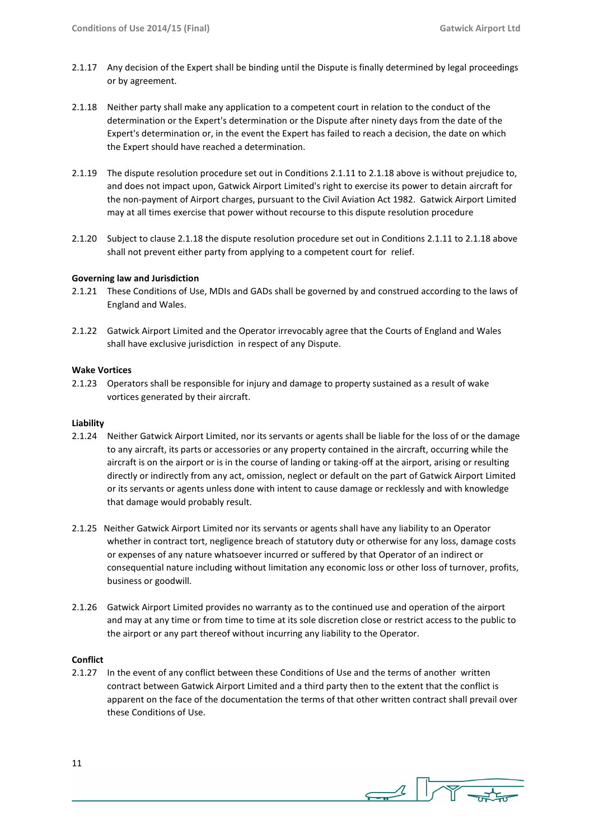- 2.1.17 Any decision of the Expert shall be binding until the Dispute is finally determined by legal proceedings or by agreement.
- 2.1.18 Neither party shall make any application to a competent court in relation to the conduct of the determination or the Expert's determination or the Dispute after ninety days from the date of the Expert's determination or, in the event the Expert has failed to reach a decision, the date on which the Expert should have reached a determination.
- 2.1.19 The dispute resolution procedure set out in Conditions 2.1.11 to 2.1.18 above is without prejudice to, and does not impact upon, Gatwick Airport Limited's right to exercise its power to detain aircraft for the non-payment of Airport charges, pursuant to the Civil Aviation Act 1982. Gatwick Airport Limited may at all times exercise that power without recourse to this dispute resolution procedure
- 2.1.20 Subject to clause 2.1.18 the dispute resolution procedure set out in Conditions 2.1.11 to 2.1.18 above shall not prevent either party from applying to a competent court for relief.

#### **Governing law and Jurisdiction**

- 2.1.21 These Conditions of Use, MDIs and GADs shall be governed by and construed according to the laws of England and Wales.
- 2.1.22 Gatwick Airport Limited and the Operator irrevocably agree that the Courts of England and Wales shall have exclusive jurisdiction in respect of any Dispute.

#### **Wake Vortices**

2.1.23 Operators shall be responsible for injury and damage to property sustained as a result of wake vortices generated by their aircraft.

#### **Liability**

- 2.1.24 Neither Gatwick Airport Limited, nor its servants or agents shall be liable for the loss of or the damage to any aircraft, its parts or accessories or any property contained in the aircraft, occurring while the aircraft is on the airport or is in the course of landing or taking-off at the airport, arising or resulting directly or indirectly from any act, omission, neglect or default on the part of Gatwick Airport Limited or its servants or agents unless done with intent to cause damage or recklessly and with knowledge that damage would probably result.
- 2.1.25 Neither Gatwick Airport Limited nor its servants or agents shall have any liability to an Operator whether in contract tort, negligence breach of statutory duty or otherwise for any loss, damage costs or expenses of any nature whatsoever incurred or suffered by that Operator of an indirect or consequential nature including without limitation any economic loss or other loss of turnover, profits, business or goodwill.
- 2.1.26 Gatwick Airport Limited provides no warranty as to the continued use and operation of the airport and may at any time or from time to time at its sole discretion close or restrict access to the public to the airport or any part thereof without incurring any liability to the Operator.

#### **Conflict**

2.1.27 In the event of any conflict between these Conditions of Use and the terms of another written contract between Gatwick Airport Limited and a third party then to the extent that the conflict is apparent on the face of the documentation the terms of that other written contract shall prevail over these Conditions of Use.

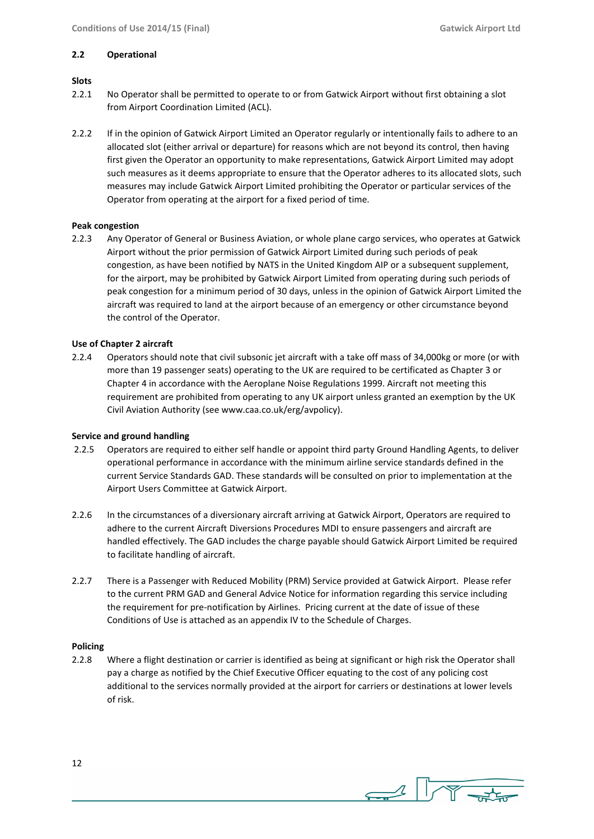#### **2.2 Operational**

#### **Slots**

- 2.2.1 No Operator shall be permitted to operate to or from Gatwick Airport without first obtaining a slot from Airport Coordination Limited (ACL).
- 2.2.2 If in the opinion of Gatwick Airport Limited an Operator regularly or intentionally fails to adhere to an allocated slot (either arrival or departure) for reasons which are not beyond its control, then having first given the Operator an opportunity to make representations, Gatwick Airport Limited may adopt such measures as it deems appropriate to ensure that the Operator adheres to its allocated slots, such measures may include Gatwick Airport Limited prohibiting the Operator or particular services of the Operator from operating at the airport for a fixed period of time.

#### **Peak congestion**

2.2.3 Any Operator of General or Business Aviation, or whole plane cargo services, who operates at Gatwick Airport without the prior permission of Gatwick Airport Limited during such periods of peak congestion, as have been notified by NATS in the United Kingdom AIP or a subsequent supplement, for the airport, may be prohibited by Gatwick Airport Limited from operating during such periods of peak congestion for a minimum period of 30 days, unless in the opinion of Gatwick Airport Limited the aircraft was required to land at the airport because of an emergency or other circumstance beyond the control of the Operator.

#### **Use of Chapter 2 aircraft**

2.2.4 Operators should note that civil subsonic jet aircraft with a take off mass of 34,000kg or more (or with more than 19 passenger seats) operating to the UK are required to be certificated as Chapter 3 or Chapter 4 in accordance with the Aeroplane Noise Regulations 1999. Aircraft not meeting this requirement are prohibited from operating to any UK airport unless granted an exemption by the UK Civil Aviation Authority (see www.caa.co.uk/erg/avpolicy).

#### **Service and ground handling**

- 2.2.5 Operators are required to either self handle or appoint third party Ground Handling Agents, to deliver operational performance in accordance with the minimum airline service standards defined in the current Service Standards GAD. These standards will be consulted on prior to implementation at the Airport Users Committee at Gatwick Airport.
- 2.2.6 In the circumstances of a diversionary aircraft arriving at Gatwick Airport, Operators are required to adhere to the current Aircraft Diversions Procedures MDI to ensure passengers and aircraft are handled effectively. The GAD includes the charge payable should Gatwick Airport Limited be required to facilitate handling of aircraft.
- 2.2.7 There is a Passenger with Reduced Mobility (PRM) Service provided at Gatwick Airport. Please refer to the current PRM GAD and General Advice Notice for information regarding this service including the requirement for pre-notification by Airlines. Pricing current at the date of issue of these Conditions of Use is attached as an appendix IV to the Schedule of Charges.

#### **Policing**

2.2.8 Where a flight destination or carrier is identified as being at significant or high risk the Operator shall pay a charge as notified by the Chief Executive Officer equating to the cost of any policing cost additional to the services normally provided at the airport for carriers or destinations at lower levels of risk.



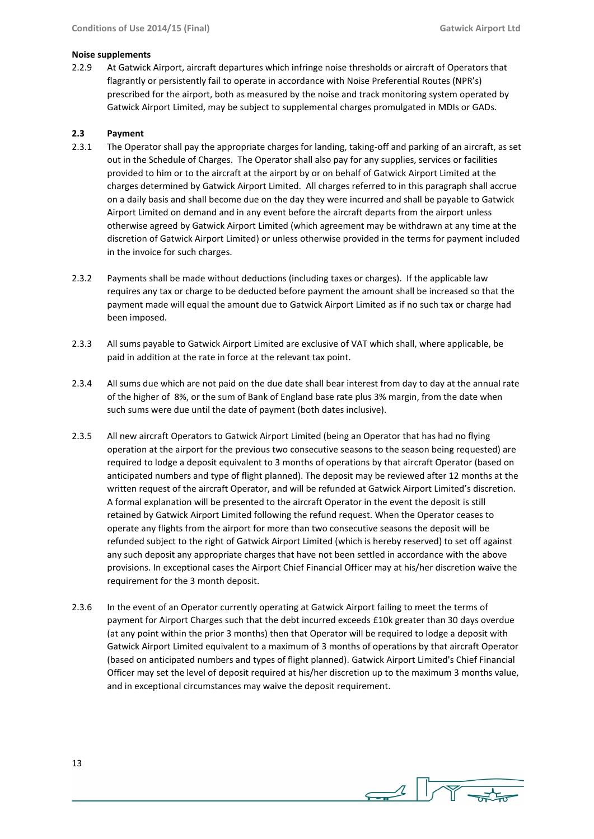#### **Noise supplements**

2.2.9 At Gatwick Airport, aircraft departures which infringe noise thresholds or aircraft of Operators that flagrantly or persistently fail to operate in accordance with Noise Preferential Routes (NPR's) prescribed for the airport, both as measured by the noise and track monitoring system operated by Gatwick Airport Limited, may be subject to supplemental charges promulgated in MDIs or GADs.

#### **2.3 Payment**

- 2.3.1 The Operator shall pay the appropriate charges for landing, taking-off and parking of an aircraft, as set out in the Schedule of Charges. The Operator shall also pay for any supplies, services or facilities provided to him or to the aircraft at the airport by or on behalf of Gatwick Airport Limited at the charges determined by Gatwick Airport Limited. All charges referred to in this paragraph shall accrue on a daily basis and shall become due on the day they were incurred and shall be payable to Gatwick Airport Limited on demand and in any event before the aircraft departs from the airport unless otherwise agreed by Gatwick Airport Limited (which agreement may be withdrawn at any time at the discretion of Gatwick Airport Limited) or unless otherwise provided in the terms for payment included in the invoice for such charges.
- 2.3.2 Payments shall be made without deductions (including taxes or charges). If the applicable law requires any tax or charge to be deducted before payment the amount shall be increased so that the payment made will equal the amount due to Gatwick Airport Limited as if no such tax or charge had been imposed.
- 2.3.3 All sums payable to Gatwick Airport Limited are exclusive of VAT which shall, where applicable, be paid in addition at the rate in force at the relevant tax point.
- 2.3.4 All sums due which are not paid on the due date shall bear interest from day to day at the annual rate of the higher of 8%, or the sum of Bank of England base rate plus 3% margin, from the date when such sums were due until the date of payment (both dates inclusive).
- 2.3.5 All new aircraft Operators to Gatwick Airport Limited (being an Operator that has had no flying operation at the airport for the previous two consecutive seasons to the season being requested) are required to lodge a deposit equivalent to 3 months of operations by that aircraft Operator (based on anticipated numbers and type of flight planned). The deposit may be reviewed after 12 months at the written request of the aircraft Operator, and will be refunded at Gatwick Airport Limited's discretion. A formal explanation will be presented to the aircraft Operator in the event the deposit is still retained by Gatwick Airport Limited following the refund request. When the Operator ceases to operate any flights from the airport for more than two consecutive seasons the deposit will be refunded subject to the right of Gatwick Airport Limited (which is hereby reserved) to set off against any such deposit any appropriate charges that have not been settled in accordance with the above provisions. In exceptional cases the Airport Chief Financial Officer may at his/her discretion waive the requirement for the 3 month deposit.
- 2.3.6 In the event of an Operator currently operating at Gatwick Airport failing to meet the terms of payment for Airport Charges such that the debt incurred exceeds £10k greater than 30 days overdue (at any point within the prior 3 months) then that Operator will be required to lodge a deposit with Gatwick Airport Limited equivalent to a maximum of 3 months of operations by that aircraft Operator (based on anticipated numbers and types of flight planned). Gatwick Airport Limited's Chief Financial Officer may set the level of deposit required at his/her discretion up to the maximum 3 months value, and in exceptional circumstances may waive the deposit requirement.

 $\rightarrow$   $\sqrt{\gamma}$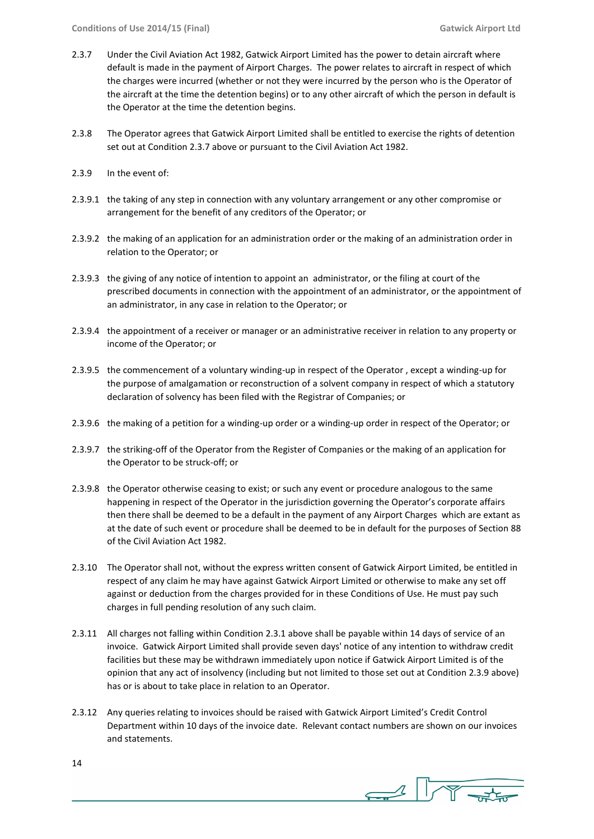- 2.3.7 Under the Civil Aviation Act 1982, Gatwick Airport Limited has the power to detain aircraft where default is made in the payment of Airport Charges. The power relates to aircraft in respect of which the charges were incurred (whether or not they were incurred by the person who is the Operator of the aircraft at the time the detention begins) or to any other aircraft of which the person in default is the Operator at the time the detention begins.
- 2.3.8 The Operator agrees that Gatwick Airport Limited shall be entitled to exercise the rights of detention set out at Condition 2.3.7 above or pursuant to the Civil Aviation Act 1982.
- 2.3.9 In the event of:
- 2.3.9.1 the taking of any step in connection with any voluntary arrangement or any other compromise or arrangement for the benefit of any creditors of the Operator; or
- 2.3.9.2 the making of an application for an administration order or the making of an administration order in relation to the Operator; or
- 2.3.9.3 the giving of any notice of intention to appoint an administrator, or the filing at court of the prescribed documents in connection with the appointment of an administrator, or the appointment of an administrator, in any case in relation to the Operator; or
- 2.3.9.4 the appointment of a receiver or manager or an administrative receiver in relation to any property or income of the Operator; or
- 2.3.9.5 the commencement of a voluntary winding-up in respect of the Operator , except a winding-up for the purpose of amalgamation or reconstruction of a solvent company in respect of which a statutory declaration of solvency has been filed with the Registrar of Companies; or
- 2.3.9.6 the making of a petition for a winding-up order or a winding-up order in respect of the Operator; or
- 2.3.9.7 the striking-off of the Operator from the Register of Companies or the making of an application for the Operator to be struck-off; or
- 2.3.9.8 the Operator otherwise ceasing to exist; or such any event or procedure analogous to the same happening in respect of the Operator in the jurisdiction governing the Operator's corporate affairs then there shall be deemed to be a default in the payment of any Airport Charges which are extant as at the date of such event or procedure shall be deemed to be in default for the purposes of Section 88 of the Civil Aviation Act 1982.
- 2.3.10 The Operator shall not, without the express written consent of Gatwick Airport Limited, be entitled in respect of any claim he may have against Gatwick Airport Limited or otherwise to make any set off against or deduction from the charges provided for in these Conditions of Use. He must pay such charges in full pending resolution of any such claim.
- 2.3.11 All charges not falling within Condition 2.3.1 above shall be payable within 14 days of service of an invoice. Gatwick Airport Limited shall provide seven days' notice of any intention to withdraw credit facilities but these may be withdrawn immediately upon notice if Gatwick Airport Limited is of the opinion that any act of insolvency (including but not limited to those set out at Condition 2.3.9 above) has or is about to take place in relation to an Operator.
- 2.3.12 Any queries relating to invoices should be raised with Gatwick Airport Limited's Credit Control Department within 10 days of the invoice date. Relevant contact numbers are shown on our invoices and statements.

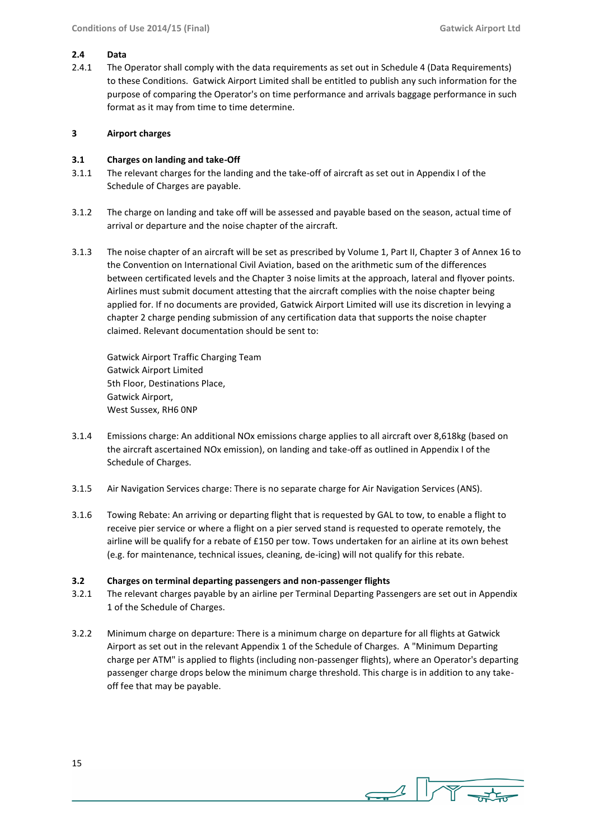#### **2.4 Data**

2.4.1 The Operator shall comply with the data requirements as set out in Schedule 4 (Data Requirements) to these Conditions. Gatwick Airport Limited shall be entitled to publish any such information for the purpose of comparing the Operator's on time performance and arrivals baggage performance in such format as it may from time to time determine.

#### **3 Airport charges**

#### **3.1 Charges on landing and take-Off**

- 3.1.1 The relevant charges for the landing and the take-off of aircraft as set out in Appendix I of the Schedule of Charges are payable.
- 3.1.2 The charge on landing and take off will be assessed and payable based on the season, actual time of arrival or departure and the noise chapter of the aircraft.
- 3.1.3 The noise chapter of an aircraft will be set as prescribed by Volume 1, Part II, Chapter 3 of Annex 16 to the Convention on International Civil Aviation, based on the arithmetic sum of the differences between certificated levels and the Chapter 3 noise limits at the approach, lateral and flyover points. Airlines must submit document attesting that the aircraft complies with the noise chapter being applied for. If no documents are provided, Gatwick Airport Limited will use its discretion in levying a chapter 2 charge pending submission of any certification data that supports the noise chapter claimed. Relevant documentation should be sent to:

Gatwick Airport Traffic Charging Team Gatwick Airport Limited 5th Floor, Destinations Place, Gatwick Airport, West Sussex, RH6 0NP

- 3.1.4 Emissions charge: An additional NOx emissions charge applies to all aircraft over 8,618kg (based on the aircraft ascertained NOx emission), on landing and take-off as outlined in Appendix I of the Schedule of Charges.
- 3.1.5 Air Navigation Services charge: There is no separate charge for Air Navigation Services (ANS).
- 3.1.6 Towing Rebate: An arriving or departing flight that is requested by GAL to tow, to enable a flight to receive pier service or where a flight on a pier served stand is requested to operate remotely, the airline will be qualify for a rebate of £150 per tow. Tows undertaken for an airline at its own behest (e.g. for maintenance, technical issues, cleaning, de-icing) will not qualify for this rebate.

#### **3.2 Charges on terminal departing passengers and non-passenger flights**

- 3.2.1 The relevant charges payable by an airline per Terminal Departing Passengers are set out in Appendix 1 of the Schedule of Charges.
- 3.2.2 Minimum charge on departure: There is a minimum charge on departure for all flights at Gatwick Airport as set out in the relevant Appendix 1 of the Schedule of Charges. A "Minimum Departing charge per ATM" is applied to flights (including non-passenger flights), where an Operator's departing passenger charge drops below the minimum charge threshold. This charge is in addition to any takeoff fee that may be payable.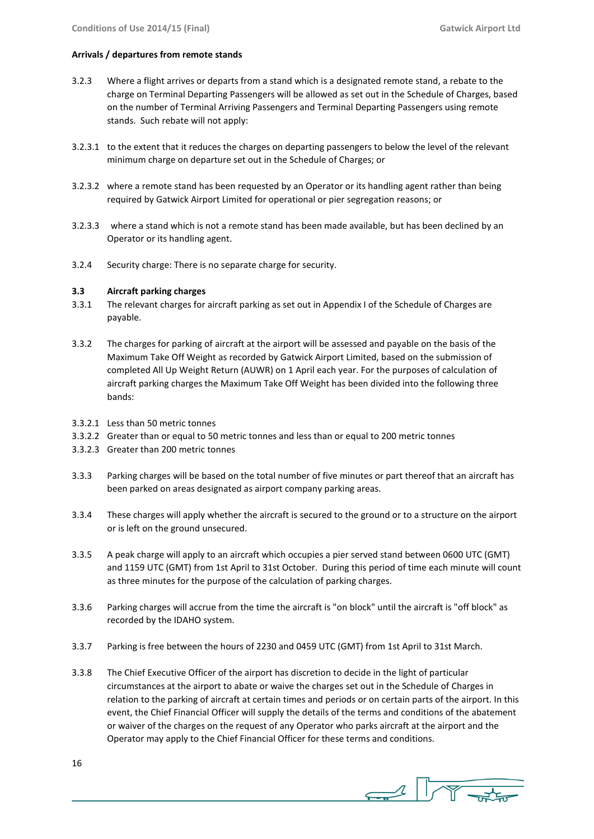#### **Arrivals / departures from remote stands**

- 3.2.3 Where a flight arrives or departs from a stand which is a designated remote stand, a rebate to the charge on Terminal Departing Passengers will be allowed as set out in the Schedule of Charges, based on the number of Terminal Arriving Passengers and Terminal Departing Passengers using remote stands. Such rebate will not apply:
- 3.2.3.1 to the extent that it reduces the charges on departing passengers to below the level of the relevant minimum charge on departure set out in the Schedule of Charges; or
- 3.2.3.2 where a remote stand has been requested by an Operator or its handling agent rather than being required by Gatwick Airport Limited for operational or pier segregation reasons; or
- 3.2.3.3 where a stand which is not a remote stand has been made available, but has been declined by an Operator or its handling agent.
- 3.2.4 Security charge: There is no separate charge for security.

#### **3.3 Aircraft parking charges**

- 3.3.1 The relevant charges for aircraft parking as set out in Appendix I of the Schedule of Charges are payable.
- 3.3.2 The charges for parking of aircraft at the airport will be assessed and payable on the basis of the Maximum Take Off Weight as recorded by Gatwick Airport Limited, based on the submission of completed All Up Weight Return (AUWR) on 1 April each year. For the purposes of calculation of aircraft parking charges the Maximum Take Off Weight has been divided into the following three bands:
- 3.3.2.1 Less than 50 metric tonnes
- 3.3.2.2 Greater than or equal to 50 metric tonnes and less than or equal to 200 metric tonnes
- 3.3.2.3 Greater than 200 metric tonnes
- 3.3.3 Parking charges will be based on the total number of five minutes or part thereof that an aircraft has been parked on areas designated as airport company parking areas.
- 3.3.4 These charges will apply whether the aircraft is secured to the ground or to a structure on the airport or is left on the ground unsecured.
- 3.3.5 A peak charge will apply to an aircraft which occupies a pier served stand between 0600 UTC (GMT) and 1159 UTC (GMT) from 1st April to 31st October. During this period of time each minute will count as three minutes for the purpose of the calculation of parking charges.
- 3.3.6 Parking charges will accrue from the time the aircraft is "on block" until the aircraft is "off block" as recorded by the IDAHO system.
- 3.3.7 Parking is free between the hours of 2230 and 0459 UTC (GMT) from 1st April to 31st March.
- 3.3.8 The Chief Executive Officer of the airport has discretion to decide in the light of particular circumstances at the airport to abate or waive the charges set out in the Schedule of Charges in relation to the parking of aircraft at certain times and periods or on certain parts of the airport. In this event, the Chief Financial Officer will supply the details of the terms and conditions of the abatement or waiver of the charges on the request of any Operator who parks aircraft at the airport and the Operator may apply to the Chief Financial Officer for these terms and conditions.

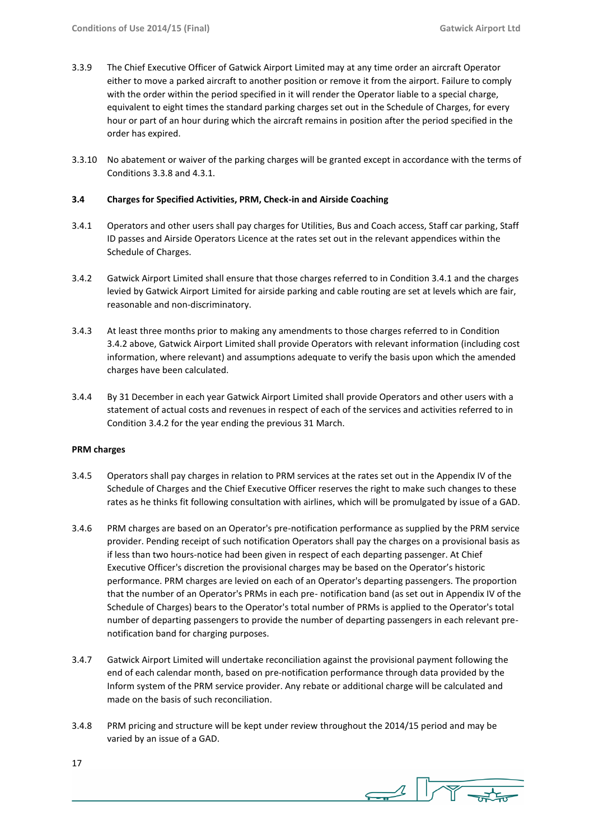- 3.3.9 The Chief Executive Officer of Gatwick Airport Limited may at any time order an aircraft Operator either to move a parked aircraft to another position or remove it from the airport. Failure to comply with the order within the period specified in it will render the Operator liable to a special charge, equivalent to eight times the standard parking charges set out in the Schedule of Charges, for every hour or part of an hour during which the aircraft remains in position after the period specified in the order has expired.
- 3.3.10 No abatement or waiver of the parking charges will be granted except in accordance with the terms of Conditions 3.3.8 and 4.3.1.

#### **3.4 Charges for Specified Activities, PRM, Check-in and Airside Coaching**

- 3.4.1 Operators and other users shall pay charges for Utilities, Bus and Coach access, Staff car parking, Staff ID passes and Airside Operators Licence at the rates set out in the relevant appendices within the Schedule of Charges.
- 3.4.2 Gatwick Airport Limited shall ensure that those charges referred to in Condition 3.4.1 and the charges levied by Gatwick Airport Limited for airside parking and cable routing are set at levels which are fair, reasonable and non-discriminatory.
- 3.4.3 At least three months prior to making any amendments to those charges referred to in Condition 3.4.2 above, Gatwick Airport Limited shall provide Operators with relevant information (including cost information, where relevant) and assumptions adequate to verify the basis upon which the amended charges have been calculated.
- 3.4.4 By 31 December in each year Gatwick Airport Limited shall provide Operators and other users with a statement of actual costs and revenues in respect of each of the services and activities referred to in Condition 3.4.2 for the year ending the previous 31 March.

#### **PRM charges**

- 3.4.5 Operators shall pay charges in relation to PRM services at the rates set out in the Appendix IV of the Schedule of Charges and the Chief Executive Officer reserves the right to make such changes to these rates as he thinks fit following consultation with airlines, which will be promulgated by issue of a GAD.
- 3.4.6 PRM charges are based on an Operator's pre-notification performance as supplied by the PRM service provider. Pending receipt of such notification Operators shall pay the charges on a provisional basis as if less than two hours-notice had been given in respect of each departing passenger. At Chief Executive Officer's discretion the provisional charges may be based on the Operator's historic performance. PRM charges are levied on each of an Operator's departing passengers. The proportion that the number of an Operator's PRMs in each pre- notification band (as set out in Appendix IV of the Schedule of Charges) bears to the Operator's total number of PRMs is applied to the Operator's total number of departing passengers to provide the number of departing passengers in each relevant prenotification band for charging purposes.
- 3.4.7 Gatwick Airport Limited will undertake reconciliation against the provisional payment following the end of each calendar month, based on pre-notification performance through data provided by the Inform system of the PRM service provider. Any rebate or additional charge will be calculated and made on the basis of such reconciliation.
- 3.4.8 PRM pricing and structure will be kept under review throughout the 2014/15 period and may be varied by an issue of a GAD.

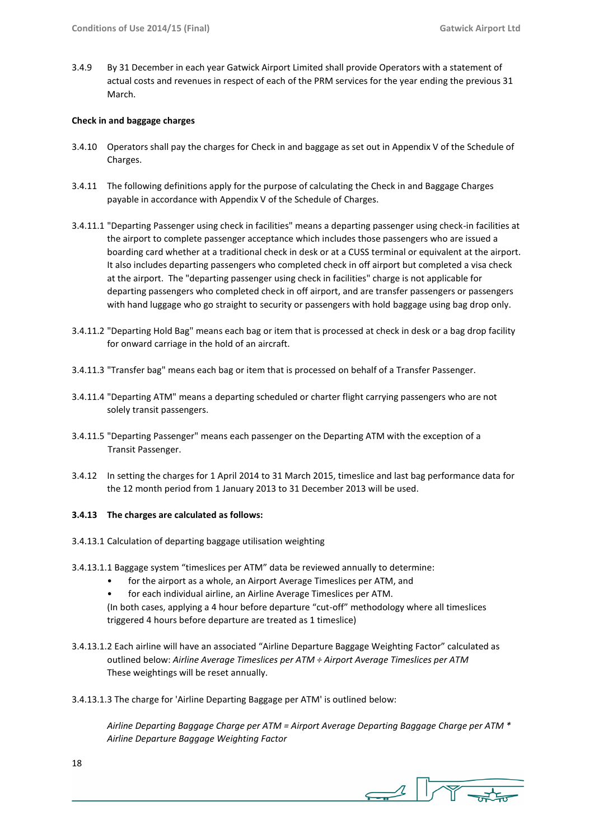3.4.9 By 31 December in each year Gatwick Airport Limited shall provide Operators with a statement of actual costs and revenues in respect of each of the PRM services for the year ending the previous 31 March.

#### **Check in and baggage charges**

- 3.4.10 Operators shall pay the charges for Check in and baggage as set out in Appendix V of the Schedule of Charges.
- 3.4.11 The following definitions apply for the purpose of calculating the Check in and Baggage Charges payable in accordance with Appendix V of the Schedule of Charges.
- 3.4.11.1 "Departing Passenger using check in facilities" means a departing passenger using check-in facilities at the airport to complete passenger acceptance which includes those passengers who are issued a boarding card whether at a traditional check in desk or at a CUSS terminal or equivalent at the airport. It also includes departing passengers who completed check in off airport but completed a visa check at the airport. The "departing passenger using check in facilities" charge is not applicable for departing passengers who completed check in off airport, and are transfer passengers or passengers with hand luggage who go straight to security or passengers with hold baggage using bag drop only.
- 3.4.11.2 "Departing Hold Bag" means each bag or item that is processed at check in desk or a bag drop facility for onward carriage in the hold of an aircraft.
- 3.4.11.3 "Transfer bag" means each bag or item that is processed on behalf of a Transfer Passenger.
- 3.4.11.4 "Departing ATM" means a departing scheduled or charter flight carrying passengers who are not solely transit passengers.
- 3.4.11.5 "Departing Passenger" means each passenger on the Departing ATM with the exception of a Transit Passenger.
- 3.4.12 In setting the charges for 1 April 2014 to 31 March 2015, timeslice and last bag performance data for the 12 month period from 1 January 2013 to 31 December 2013 will be used.

#### **3.4.13 The charges are calculated as follows:**

- 3.4.13.1 Calculation of departing baggage utilisation weighting
- 3.4.13.1.1 Baggage system "timeslices per ATM" data be reviewed annually to determine:
	- for the airport as a whole, an Airport Average Timeslices per ATM, and
	- for each individual airline, an Airline Average Timeslices per ATM.
	- (In both cases, applying a 4 hour before departure "cut-off" methodology where all timeslices triggered 4 hours before departure are treated as 1 timeslice)
- 3.4.13.1.2 Each airline will have an associated "Airline Departure Baggage Weighting Factor" calculated as outlined below: *Airline Average Timeslices per ATM ÷ Airport Average Timeslices per ATM* These weightings will be reset annually.
- 3.4.13.1.3 The charge for 'Airline Departing Baggage per ATM' is outlined below:

*Airline Departing Baggage Charge per ATM = Airport Average Departing Baggage Charge per ATM \* Airline Departure Baggage Weighting Factor*

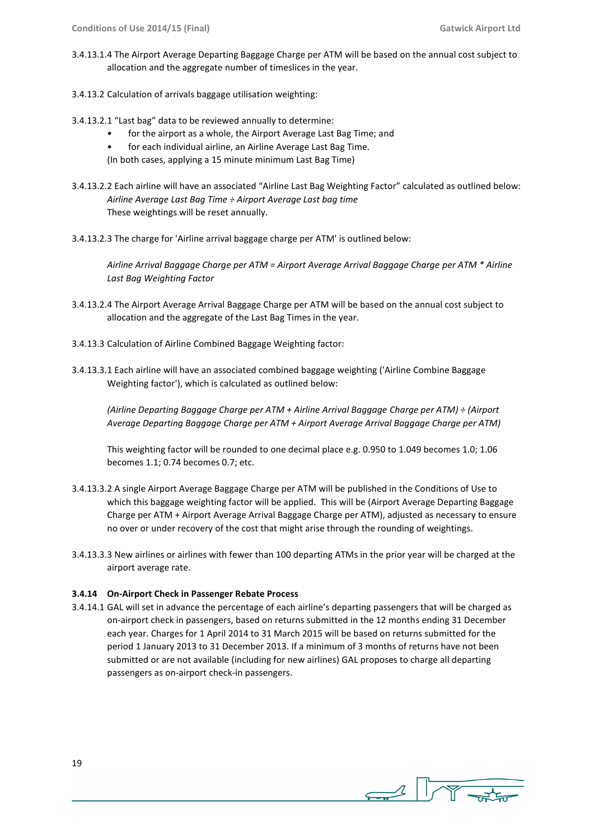- 3.4.13.1.4 The Airport Average Departing Baggage Charge per ATM will be based on the annual cost subject to allocation and the aggregate number of timeslices in the year.
- 3.4.13.2 Calculation of arrivals baggage utilisation weighting:
- 3.4.13.2.1 "Last bag" data to be reviewed annually to determine:
	- for the airport as a whole, the Airport Average Last Bag Time; and
	- for each individual airline, an Airline Average Last Bag Time.

(In both cases, applying a 15 minute minimum Last Bag Time)

- 3.4.13.2.2 Each airline will have an associated "Airline Last Bag Weighting Factor" calculated as outlined below: *Airline Average Last Bag Time ÷ Airport Average Last bag time* These weightings will be reset annually.
- 3.4.13.2.3 The charge for 'Airline arrival baggage charge per ATM' is outlined below:

*Airline Arrival Baggage Charge per ATM = Airport Average Arrival Baggage Charge per ATM \* Airline Last Bag Weighting Factor*

- 3.4.13.2.4 The Airport Average Arrival Baggage Charge per ATM will be based on the annual cost subject to allocation and the aggregate of the Last Bag Times in the year.
- 3.4.13.3 Calculation of Airline Combined Baggage Weighting factor:
- 3.4.13.3.1 Each airline will have an associated combined baggage weighting ('Airline Combine Baggage Weighting factor'), which is calculated as outlined below:

*(Airline Departing Baggage Charge per ATM + Airline Arrival Baggage Charge per ATM) ÷ (Airport Average Departing Baggage Charge per ATM + Airport Average Arrival Baggage Charge per ATM)*

This weighting factor will be rounded to one decimal place e.g. 0.950 to 1.049 becomes 1.0; 1.06 becomes 1.1; 0.74 becomes 0.7; etc.

- 3.4.13.3.2 A single Airport Average Baggage Charge per ATM will be published in the Conditions of Use to which this baggage weighting factor will be applied. This will be (Airport Average Departing Baggage Charge per ATM + Airport Average Arrival Baggage Charge per ATM), adjusted as necessary to ensure no over or under recovery of the cost that might arise through the rounding of weightings.
- 3.4.13.3.3 New airlines or airlines with fewer than 100 departing ATMs in the prior year will be charged at the airport average rate.

#### **3.4.14 On-Airport Check in Passenger Rebate Process**

3.4.14.1 GAL will set in advance the percentage of each airline's departing passengers that will be charged as on-airport check in passengers, based on returns submitted in the 12 months ending 31 December each year. Charges for 1 April 2014 to 31 March 2015 will be based on returns submitted for the period 1 January 2013 to 31 December 2013. If a minimum of 3 months of returns have not been submitted or are not available (including for new airlines) GAL proposes to charge all departing passengers as on-airport check-in passengers.

 $\rightarrow$   $\sqrt{\gamma}$ .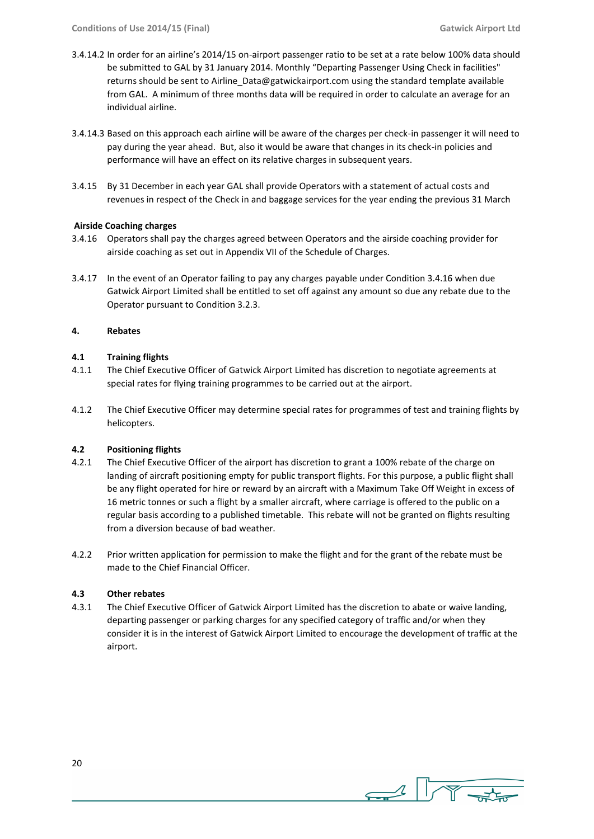- 3.4.14.2 In order for an airline's 2014/15 on-airport passenger ratio to be set at a rate below 100% data should be submitted to GAL by 31 January 2014. Monthly "Departing Passenger Using Check in facilities" returns should be sent to Airline Data@gatwickairport.com using the standard template available from GAL. A minimum of three months data will be required in order to calculate an average for an individual airline.
- 3.4.14.3 Based on this approach each airline will be aware of the charges per check-in passenger it will need to pay during the year ahead. But, also it would be aware that changes in its check-in policies and performance will have an effect on its relative charges in subsequent years.
- 3.4.15 By 31 December in each year GAL shall provide Operators with a statement of actual costs and revenues in respect of the Check in and baggage services for the year ending the previous 31 March

#### **Airside Coaching charges**

- 3.4.16 Operators shall pay the charges agreed between Operators and the airside coaching provider for airside coaching as set out in Appendix VII of the Schedule of Charges.
- 3.4.17 In the event of an Operator failing to pay any charges payable under Condition 3.4.16 when due Gatwick Airport Limited shall be entitled to set off against any amount so due any rebate due to the Operator pursuant to Condition 3.2.3.

#### **4. Rebates**

#### **4.1 Training flights**

- 4.1.1 The Chief Executive Officer of Gatwick Airport Limited has discretion to negotiate agreements at special rates for flying training programmes to be carried out at the airport.
- 4.1.2 The Chief Executive Officer may determine special rates for programmes of test and training flights by helicopters.

#### **4.2 Positioning flights**

- 4.2.1 The Chief Executive Officer of the airport has discretion to grant a 100% rebate of the charge on landing of aircraft positioning empty for public transport flights. For this purpose, a public flight shall be any flight operated for hire or reward by an aircraft with a Maximum Take Off Weight in excess of 16 metric tonnes or such a flight by a smaller aircraft, where carriage is offered to the public on a regular basis according to a published timetable. This rebate will not be granted on flights resulting from a diversion because of bad weather.
- 4.2.2 Prior written application for permission to make the flight and for the grant of the rebate must be made to the Chief Financial Officer.

#### **4.3 Other rebates**

4.3.1 The Chief Executive Officer of Gatwick Airport Limited has the discretion to abate or waive landing, departing passenger or parking charges for any specified category of traffic and/or when they consider it is in the interest of Gatwick Airport Limited to encourage the development of traffic at the airport.

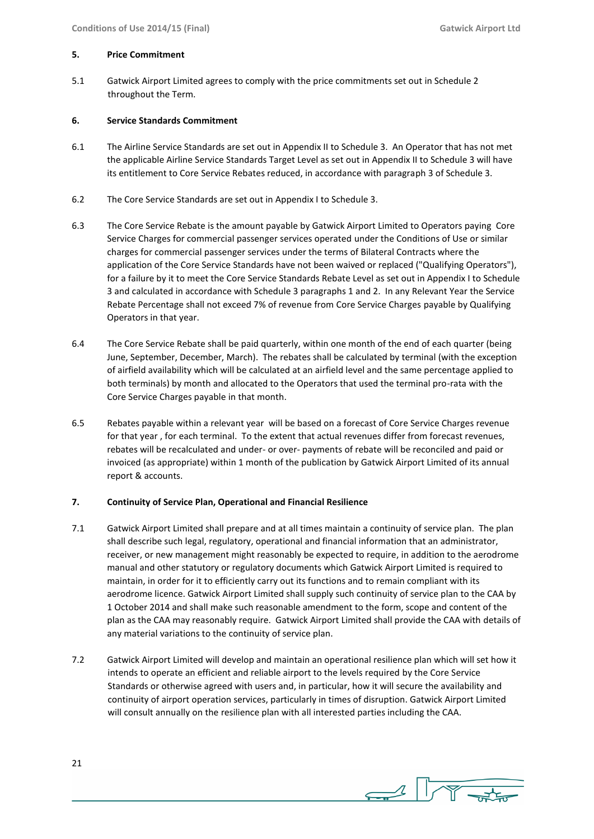#### **5. Price Commitment**

5.1 Gatwick Airport Limited agrees to comply with the price commitments set out in Schedule 2 throughout the Term.

#### **6. Service Standards Commitment**

- 6.1 The Airline Service Standards are set out in Appendix II to Schedule 3. An Operator that has not met the applicable Airline Service Standards Target Level as set out in Appendix II to Schedule 3 will have its entitlement to Core Service Rebates reduced, in accordance with paragraph 3 of Schedule 3.
- 6.2 The Core Service Standards are set out in Appendix I to Schedule 3.
- 6.3 The Core Service Rebate is the amount payable by Gatwick Airport Limited to Operators paying Core Service Charges for commercial passenger services operated under the Conditions of Use or similar charges for commercial passenger services under the terms of Bilateral Contracts where the application of the Core Service Standards have not been waived or replaced ("Qualifying Operators"), for a failure by it to meet the Core Service Standards Rebate Level as set out in Appendix I to Schedule 3 and calculated in accordance with Schedule 3 paragraphs 1 and 2. In any Relevant Year the Service Rebate Percentage shall not exceed 7% of revenue from Core Service Charges payable by Qualifying Operators in that year.
- 6.4 The Core Service Rebate shall be paid quarterly, within one month of the end of each quarter (being June, September, December, March). The rebates shall be calculated by terminal (with the exception of airfield availability which will be calculated at an airfield level and the same percentage applied to both terminals) by month and allocated to the Operators that used the terminal pro-rata with the Core Service Charges payable in that month.
- 6.5 Rebates payable within a relevant year will be based on a forecast of Core Service Charges revenue for that year , for each terminal. To the extent that actual revenues differ from forecast revenues, rebates will be recalculated and under- or over- payments of rebate will be reconciled and paid or invoiced (as appropriate) within 1 month of the publication by Gatwick Airport Limited of its annual report & accounts.

#### **7. Continuity of Service Plan, Operational and Financial Resilience**

- 7.1 Gatwick Airport Limited shall prepare and at all times maintain a continuity of service plan. The plan shall describe such legal, regulatory, operational and financial information that an administrator, receiver, or new management might reasonably be expected to require, in addition to the aerodrome manual and other statutory or regulatory documents which Gatwick Airport Limited is required to maintain, in order for it to efficiently carry out its functions and to remain compliant with its aerodrome licence. Gatwick Airport Limited shall supply such continuity of service plan to the CAA by 1 October 2014 and shall make such reasonable amendment to the form, scope and content of the plan as the CAA may reasonably require. Gatwick Airport Limited shall provide the CAA with details of any material variations to the continuity of service plan.
- 7.2 Gatwick Airport Limited will develop and maintain an operational resilience plan which will set how it intends to operate an efficient and reliable airport to the levels required by the Core Service Standards or otherwise agreed with users and, in particular, how it will secure the availability and continuity of airport operation services, particularly in times of disruption. Gatwick Airport Limited will consult annually on the resilience plan with all interested parties including the CAA.



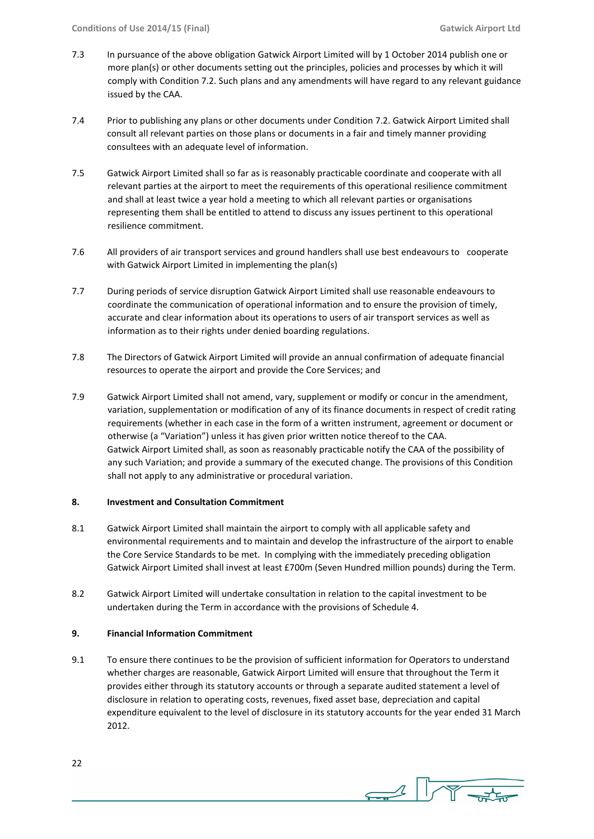- 7.3 In pursuance of the above obligation Gatwick Airport Limited will by 1 October 2014 publish one or more plan(s) or other documents setting out the principles, policies and processes by which it will comply with Condition 7.2. Such plans and any amendments will have regard to any relevant guidance issued by the CAA.
- 7.4 Prior to publishing any plans or other documents under Condition 7.2. Gatwick Airport Limited shall consult all relevant parties on those plans or documents in a fair and timely manner providing consultees with an adequate level of information.
- 7.5 Gatwick Airport Limited shall so far as is reasonably practicable coordinate and cooperate with all relevant parties at the airport to meet the requirements of this operational resilience commitment and shall at least twice a year hold a meeting to which all relevant parties or organisations representing them shall be entitled to attend to discuss any issues pertinent to this operational resilience commitment.
- 7.6 All providers of air transport services and ground handlers shall use best endeavours to cooperate with Gatwick Airport Limited in implementing the plan(s)
- 7.7 During periods of service disruption Gatwick Airport Limited shall use reasonable endeavours to coordinate the communication of operational information and to ensure the provision of timely, accurate and clear information about its operations to users of air transport services as well as information as to their rights under denied boarding regulations.
- 7.8 The Directors of Gatwick Airport Limited will provide an annual confirmation of adequate financial resources to operate the airport and provide the Core Services; and
- 7.9 Gatwick Airport Limited shall not amend, vary, supplement or modify or concur in the amendment, variation, supplementation or modification of any of its finance documents in respect of credit rating requirements (whether in each case in the form of a written instrument, agreement or document or otherwise (a "Variation") unless it has given prior written notice thereof to the CAA. Gatwick Airport Limited shall, as soon as reasonably practicable notify the CAA of the possibility of any such Variation; and provide a summary of the executed change. The provisions of this Condition shall not apply to any administrative or procedural variation.

#### **8. Investment and Consultation Commitment**

- 8.1 Gatwick Airport Limited shall maintain the airport to comply with all applicable safety and environmental requirements and to maintain and develop the infrastructure of the airport to enable the Core Service Standards to be met. In complying with the immediately preceding obligation Gatwick Airport Limited shall invest at least £700m (Seven Hundred million pounds) during the Term.
- 8.2 Gatwick Airport Limited will undertake consultation in relation to the capital investment to be undertaken during the Term in accordance with the provisions of Schedule 4.

#### **9. Financial Information Commitment**

9.1 To ensure there continues to be the provision of sufficient information for Operators to understand whether charges are reasonable, Gatwick Airport Limited will ensure that throughout the Term it provides either through its statutory accounts or through a separate audited statement a level of disclosure in relation to operating costs, revenues, fixed asset base, depreciation and capital expenditure equivalent to the level of disclosure in its statutory accounts for the year ended 31 March 2012.

 $\sim$   $\sqrt{\sqrt{2}}$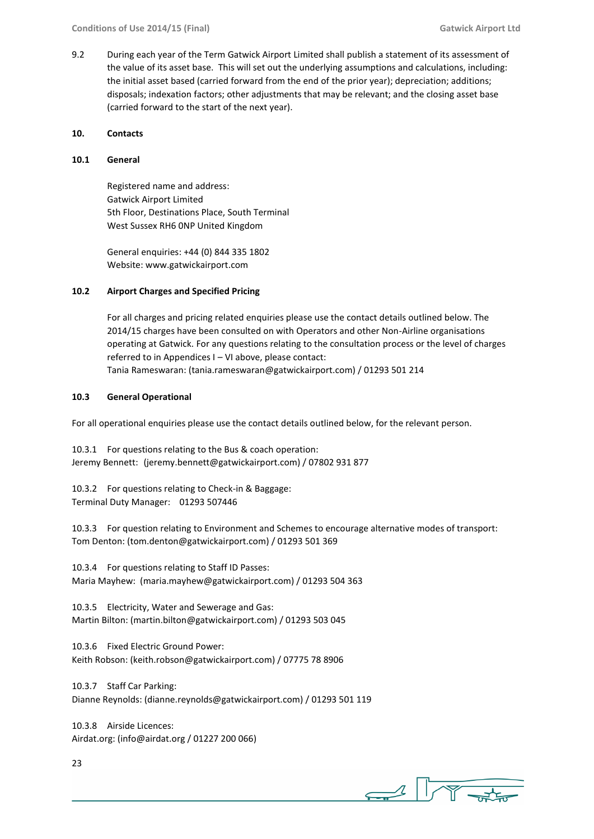9.2 During each year of the Term Gatwick Airport Limited shall publish a statement of its assessment of the value of its asset base. This will set out the underlying assumptions and calculations, including: the initial asset based (carried forward from the end of the prior year); depreciation; additions; disposals; indexation factors; other adjustments that may be relevant; and the closing asset base (carried forward to the start of the next year).

#### **10. Contacts**

#### **10.1 General**

Registered name and address: Gatwick Airport Limited 5th Floor, Destinations Place, South Terminal West Sussex RH6 0NP United Kingdom

General enquiries: +44 (0) 844 335 1802 Website: www.gatwickairport.com

#### **10.2 Airport Charges and Specified Pricing**

For all charges and pricing related enquiries please use the contact details outlined below. The 2014/15 charges have been consulted on with Operators and other Non-Airline organisations operating at Gatwick. For any questions relating to the consultation process or the level of charges referred to in Appendices I – VI above, please contact: Tania Rameswaran: (tania.rameswaran@gatwickairport.com) / 01293 501 214

#### **10.3 General Operational**

For all operational enquiries please use the contact details outlined below, for the relevant person.

10.3.1 For questions relating to the Bus & coach operation: Jeremy Bennett: (jeremy.bennett@gatwickairport.com) / 07802 931 877

10.3.2 For questions relating to Check-in & Baggage: Terminal Duty Manager: 01293 507446

10.3.3 For question relating to Environment and Schemes to encourage alternative modes of transport: Tom Denton: (tom.denton@gatwickairport.com) / 01293 501 369

10.3.4 For questions relating to Staff ID Passes: Maria Mayhew: (maria.mayhew@gatwickairport.com) / 01293 504 363

10.3.5 Electricity, Water and Sewerage and Gas: Martin Bilton: (martin.bilton@gatwickairport.com) / 01293 503 045

10.3.6 Fixed Electric Ground Power: Keith Robson: (keith.robson@gatwickairport.com) / 07775 78 8906

10.3.7 Staff Car Parking: Dianne Reynolds: (dianne.reynolds@gatwickairport.com) / 01293 501 119

10.3.8 Airside Licences: Airdat.org: (info@airdat.org / 01227 200 066)

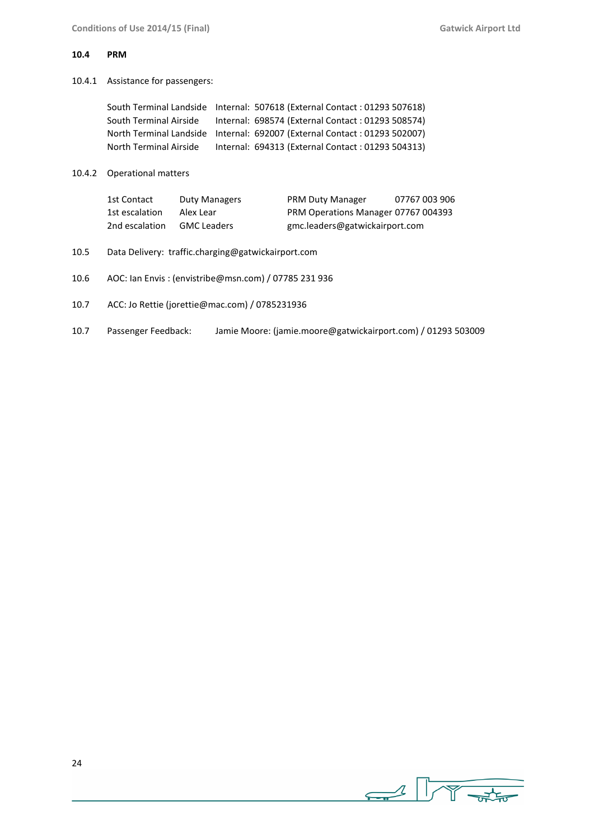#### **10.4 PRM**

10.4.1 Assistance for passengers:

|                        | South Terminal Landside Internal: 507618 (External Contact: 01293 507618) |
|------------------------|---------------------------------------------------------------------------|
| South Terminal Airside | Internal: 698574 (External Contact: 01293 508574)                         |
|                        | North Terminal Landside Internal: 692007 (External Contact: 01293 502007) |
| North Terminal Airside | Internal: 694313 (External Contact: 01293 504313)                         |

10.4.2 Operational matters

| 1st Contact    | Duty Managers      | <b>PRM Duty Manager</b>             | 07767 003 906 |
|----------------|--------------------|-------------------------------------|---------------|
| 1st escalation | Alex Lear          | PRM Operations Manager 07767 004393 |               |
| 2nd escalation | <b>GMC Leaders</b> | gmc.leaders@gatwickairport.com      |               |

- 10.5 Data Delivery: traffic.charging@gatwickairport.com
- 10.6 AOC: Ian Envis : (envistribe@msn.com) / 07785 231 936
- 10.7 ACC: Jo Rettie (jorettie@mac.com) / 0785231936
- 10.7 Passenger Feedback: Jamie Moore: (jamie.moore@gatwickairport.com) / 01293 503009

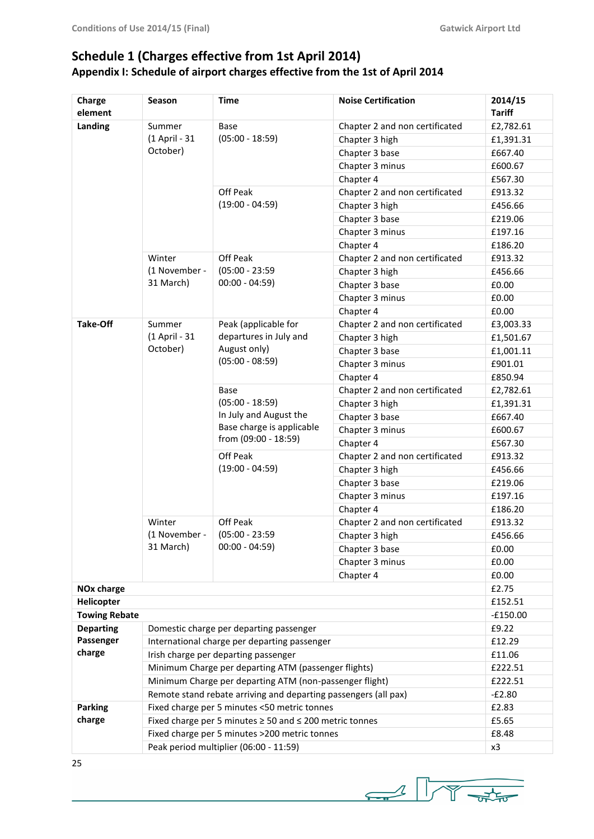# **Schedule 1 (Charges effective from 1st April 2014) Appendix I: Schedule of airport charges effective from the 1st of April 2014**

| Charge<br>element      | Season                                                          | <b>Time</b>                                                                                      | <b>Noise Certification</b>     | 2014/15<br><b>Tariff</b> |
|------------------------|-----------------------------------------------------------------|--------------------------------------------------------------------------------------------------|--------------------------------|--------------------------|
| Landing                | Summer                                                          | Base                                                                                             | Chapter 2 and non certificated | £2,782.61                |
|                        | (1 April - 31                                                   | $(05:00 - 18:59)$                                                                                | Chapter 3 high                 | £1,391.31                |
|                        | October)                                                        |                                                                                                  | Chapter 3 base                 | £667.40                  |
|                        |                                                                 |                                                                                                  | Chapter 3 minus                | £600.67                  |
|                        |                                                                 |                                                                                                  | Chapter 4                      | £567.30                  |
|                        |                                                                 | Off Peak                                                                                         | Chapter 2 and non certificated | £913.32                  |
|                        |                                                                 | $(19:00 - 04:59)$                                                                                | Chapter 3 high                 | £456.66                  |
|                        |                                                                 |                                                                                                  | Chapter 3 base                 | £219.06                  |
|                        |                                                                 |                                                                                                  | Chapter 3 minus                | £197.16                  |
|                        |                                                                 |                                                                                                  | Chapter 4                      | £186.20                  |
|                        | Winter                                                          | Off Peak                                                                                         | Chapter 2 and non certificated | £913.32                  |
|                        | (1 November -                                                   | $(05:00 - 23:59)$                                                                                | Chapter 3 high                 | £456.66                  |
|                        | 31 March)                                                       | $00:00 - 04:59$                                                                                  | Chapter 3 base                 | £0.00                    |
|                        |                                                                 |                                                                                                  | Chapter 3 minus                | £0.00                    |
|                        |                                                                 |                                                                                                  | Chapter 4                      | £0.00                    |
| <b>Take-Off</b>        | Summer                                                          | Peak (applicable for                                                                             | Chapter 2 and non certificated | £3,003.33                |
|                        | (1 April - 31                                                   | departures in July and                                                                           | Chapter 3 high                 | £1,501.67                |
|                        | October)                                                        | August only)                                                                                     | Chapter 3 base                 | £1,001.11                |
|                        |                                                                 | $(05:00 - 08:59)$                                                                                | Chapter 3 minus                | £901.01                  |
|                        |                                                                 |                                                                                                  | Chapter 4                      | £850.94                  |
|                        |                                                                 | Base                                                                                             | Chapter 2 and non certificated | £2,782.61                |
|                        |                                                                 | $(05:00 - 18:59)$<br>In July and August the<br>Base charge is applicable<br>from (09:00 - 18:59) | Chapter 3 high                 | £1,391.31                |
|                        |                                                                 |                                                                                                  | Chapter 3 base                 | £667.40                  |
|                        |                                                                 |                                                                                                  | Chapter 3 minus                | £600.67                  |
|                        |                                                                 |                                                                                                  | Chapter 4                      | £567.30                  |
|                        |                                                                 | Off Peak                                                                                         | Chapter 2 and non certificated | £913.32                  |
|                        |                                                                 | $(19:00 - 04:59)$                                                                                | Chapter 3 high                 | £456.66                  |
|                        |                                                                 |                                                                                                  | Chapter 3 base                 | £219.06                  |
|                        |                                                                 |                                                                                                  | Chapter 3 minus                | £197.16                  |
|                        |                                                                 |                                                                                                  | Chapter 4                      | £186.20                  |
|                        | Winter                                                          | Off Peak                                                                                         | Chapter 2 and non certificated | £913.32                  |
|                        | (1 November -                                                   | $(05:00 - 23:59)$                                                                                | Chapter 3 high                 | £456.66                  |
|                        | 31 March)                                                       | $00:00 - 04:59$                                                                                  | Chapter 3 base                 | £0.00                    |
|                        |                                                                 |                                                                                                  | Chapter 3 minus                | £0.00                    |
|                        |                                                                 |                                                                                                  | Chapter 4                      | £0.00                    |
| NO <sub>x</sub> charge |                                                                 |                                                                                                  |                                | £2.75                    |
| Helicopter             |                                                                 |                                                                                                  |                                | £152.51                  |
| <b>Towing Rebate</b>   |                                                                 |                                                                                                  |                                | $-£150.00$               |
| <b>Departing</b>       |                                                                 | Domestic charge per departing passenger                                                          |                                | £9.22                    |
| Passenger              |                                                                 | International charge per departing passenger                                                     |                                |                          |
| charge                 | Irish charge per departing passenger                            |                                                                                                  | £11.06                         |                          |
|                        | Minimum Charge per departing ATM (passenger flights)            | £222.51                                                                                          |                                |                          |
|                        | Minimum Charge per departing ATM (non-passenger flight)         | £222.51                                                                                          |                                |                          |
|                        | Remote stand rebate arriving and departing passengers (all pax) | $-E2.80$                                                                                         |                                |                          |
| <b>Parking</b>         |                                                                 | Fixed charge per 5 minutes <50 metric tonnes                                                     |                                | £2.83                    |
| charge                 |                                                                 | Fixed charge per 5 minutes $\geq$ 50 and $\leq$ 200 metric tonnes                                |                                | £5.65                    |
|                        |                                                                 | Fixed charge per 5 minutes >200 metric tonnes                                                    |                                | £8.48                    |
|                        | Peak period multiplier (06:00 - 11:59)                          | x3                                                                                               |                                |                          |

 $\begin{picture}(100,10) \put(0,0){\line(1,0){10}} \put(10,0){\line(1,0){10}} \put(10,0){\line(1,0){10}} \put(10,0){\line(1,0){10}} \put(10,0){\line(1,0){10}} \put(10,0){\line(1,0){10}} \put(10,0){\line(1,0){10}} \put(10,0){\line(1,0){10}} \put(10,0){\line(1,0){10}} \put(10,0){\line(1,0){10}} \put(10,0){\line(1,0){10}} \put(10,0){\line($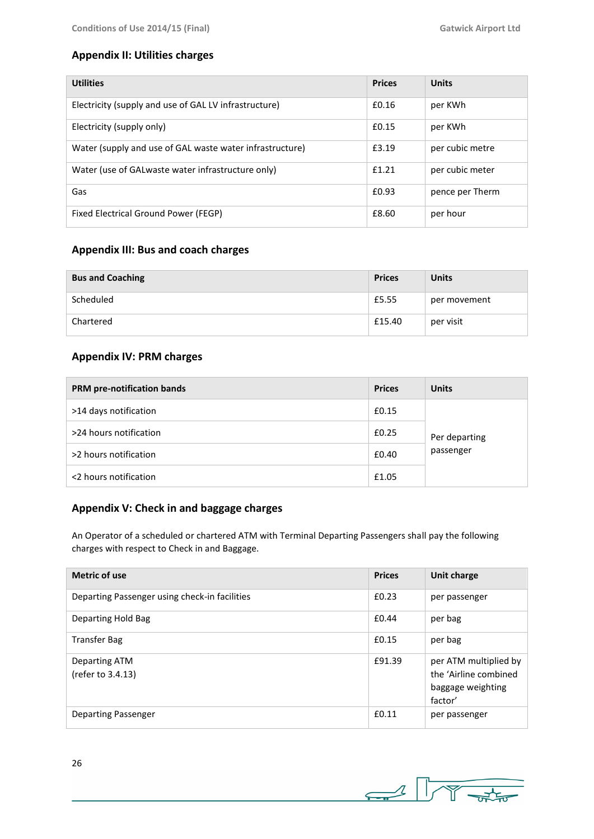### **Appendix II: Utilities charges**

| <b>Utilities</b>                                         | <b>Prices</b> | <b>Units</b>    |
|----------------------------------------------------------|---------------|-----------------|
| Electricity (supply and use of GAL LV infrastructure)    | £0.16         | per KWh         |
| Electricity (supply only)                                | f(0.15)       | per KWh         |
| Water (supply and use of GAL waste water infrastructure) | £3.19         | per cubic metre |
| Water (use of GALwaste water infrastructure only)        | f1.21         | per cubic meter |
| Gas                                                      | £0.93         | pence per Therm |
| Fixed Electrical Ground Power (FEGP)                     | £8.60         | per hour        |

### **Appendix III: Bus and coach charges**

| <b>Bus and Coaching</b> | <b>Prices</b> | <b>Units</b> |
|-------------------------|---------------|--------------|
| Scheduled               | £5.55         | per movement |
| Chartered               | £15.40        | per visit    |

### **Appendix IV: PRM charges**

| PRM pre-notification bands | <b>Prices</b> | <b>Units</b>               |  |
|----------------------------|---------------|----------------------------|--|
| >14 days notification      | £0.15         | Per departing<br>passenger |  |
| >24 hours notification     | £0.25         |                            |  |
| >2 hours notification      | £0.40         |                            |  |
| <2 hours notification      | £1.05         |                            |  |

### **Appendix V: Check in and baggage charges**

An Operator of a scheduled or chartered ATM with Terminal Departing Passengers shall pay the following charges with respect to Check in and Baggage.

| <b>Metric of use</b>                          | <b>Prices</b> | Unit charge                                                                    |
|-----------------------------------------------|---------------|--------------------------------------------------------------------------------|
| Departing Passenger using check-in facilities | £0.23         | per passenger                                                                  |
| Departing Hold Bag                            | £0.44         | per bag                                                                        |
| <b>Transfer Bag</b>                           | £0.15         | per bag                                                                        |
| Departing ATM<br>(refer to 3.4.13)            | £91.39        | per ATM multiplied by<br>the 'Airline combined<br>baggage weighting<br>factor' |
| Departing Passenger                           | £0.11         | per passenger                                                                  |

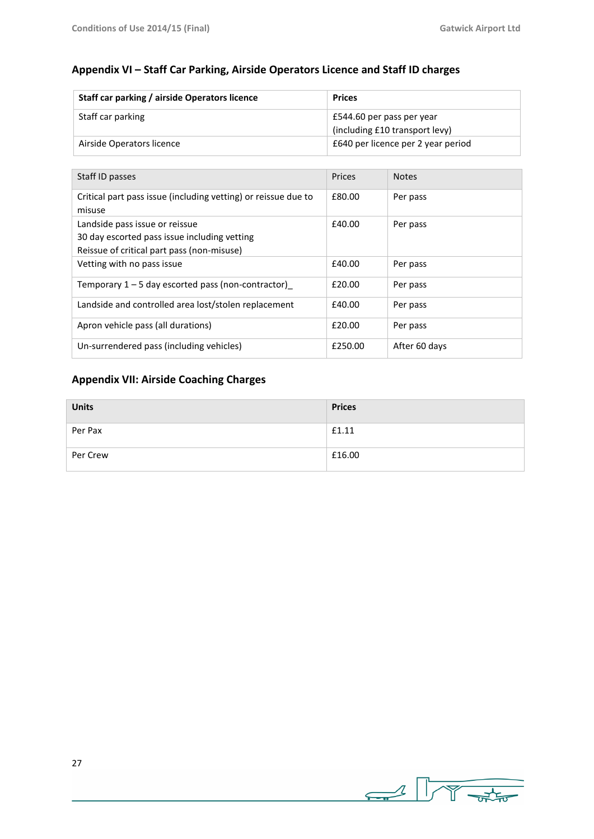### **Appendix VI – Staff Car Parking, Airside Operators Licence and Staff ID charges**

| Staff car parking / airside Operators licence | <b>Prices</b>                      |  |
|-----------------------------------------------|------------------------------------|--|
| Staff car parking                             | £544.60 per pass per year          |  |
|                                               | (including £10 transport levy)     |  |
| Airside Operators licence                     | E640 per licence per 2 year period |  |

| Staff ID passes                                                                | Prices  | <b>Notes</b>  |
|--------------------------------------------------------------------------------|---------|---------------|
| Critical part pass issue (including vetting) or reissue due to<br>misuse       | £80.00  | Per pass      |
| Landside pass issue or reissue<br>30 day escorted pass issue including vetting | £40.00  | Per pass      |
| Reissue of critical part pass (non-misuse)<br>Vetting with no pass issue       | £40.00  | Per pass      |
| Temporary $1 - 5$ day escorted pass (non-contractor)                           | £20.00  | Per pass      |
| Landside and controlled area lost/stolen replacement                           | £40.00  | Per pass      |
| Apron vehicle pass (all durations)                                             | £20.00  | Per pass      |
| Un-surrendered pass (including vehicles)                                       | £250.00 | After 60 days |

### **Appendix VII: Airside Coaching Charges**

| <b>Units</b> | <b>Prices</b> |
|--------------|---------------|
| Per Pax      | £1.11         |
| Per Crew     | £16.00        |

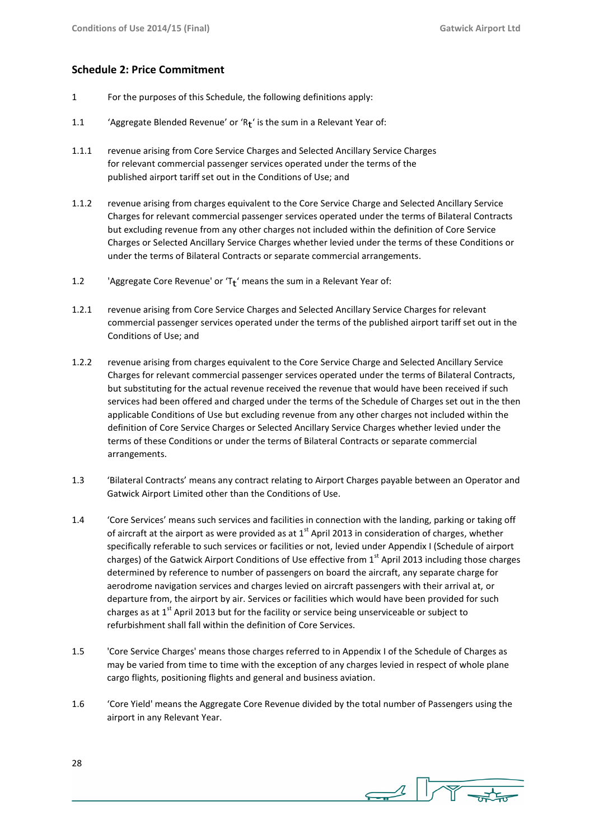#### **Schedule 2: Price Commitment**

- 1 For the purposes of this Schedule, the following definitions apply:
- 1.1 
'Aggregate Blended Revenue' or ' $R_t$ ' is the sum in a Relevant Year of:
- 1.1.1 revenue arising from Core Service Charges and Selected Ancillary Service Charges for relevant commercial passenger services operated under the terms of the published airport tariff set out in the Conditions of Use; and
- 1.1.2 revenue arising from charges equivalent to the Core Service Charge and Selected Ancillary Service Charges for relevant commercial passenger services operated under the terms of Bilateral Contracts but excluding revenue from any other charges not included within the definition of Core Service Charges or Selected Ancillary Service Charges whether levied under the terms of these Conditions or under the terms of Bilateral Contracts or separate commercial arrangements.
- 1.2 Sample 2.1 algerigate Core Revenue' or 'T $t'$  means the sum in a Relevant Year of:
- 1.2.1 revenue arising from Core Service Charges and Selected Ancillary Service Charges for relevant commercial passenger services operated under the terms of the published airport tariff set out in the Conditions of Use; and
- 1.2.2 revenue arising from charges equivalent to the Core Service Charge and Selected Ancillary Service Charges for relevant commercial passenger services operated under the terms of Bilateral Contracts, but substituting for the actual revenue received the revenue that would have been received if such services had been offered and charged under the terms of the Schedule of Charges set out in the then applicable Conditions of Use but excluding revenue from any other charges not included within the definition of Core Service Charges or Selected Ancillary Service Charges whether levied under the terms of these Conditions or under the terms of Bilateral Contracts or separate commercial arrangements.
- 1.3 'Bilateral Contracts' means any contract relating to Airport Charges payable between an Operator and Gatwick Airport Limited other than the Conditions of Use.
- 1.4 'Core Services' means such services and facilities in connection with the landing, parking or taking off of aircraft at the airport as were provided as at  $1<sup>st</sup>$  April 2013 in consideration of charges, whether specifically referable to such services or facilities or not, levied under Appendix I (Schedule of airport charges) of the Gatwick Airport Conditions of Use effective from  $1<sup>st</sup>$  April 2013 including those charges determined by reference to number of passengers on board the aircraft, any separate charge for aerodrome navigation services and charges levied on aircraft passengers with their arrival at, or departure from, the airport by air. Services or facilities which would have been provided for such charges as at  $1<sup>st</sup>$  April 2013 but for the facility or service being unserviceable or subject to refurbishment shall fall within the definition of Core Services.
- 1.5 'Core Service Charges' means those charges referred to in Appendix I of the Schedule of Charges as may be varied from time to time with the exception of any charges levied in respect of whole plane cargo flights, positioning flights and general and business aviation.
- 1.6 'Core Yield' means the Aggregate Core Revenue divided by the total number of Passengers using the airport in any Relevant Year.

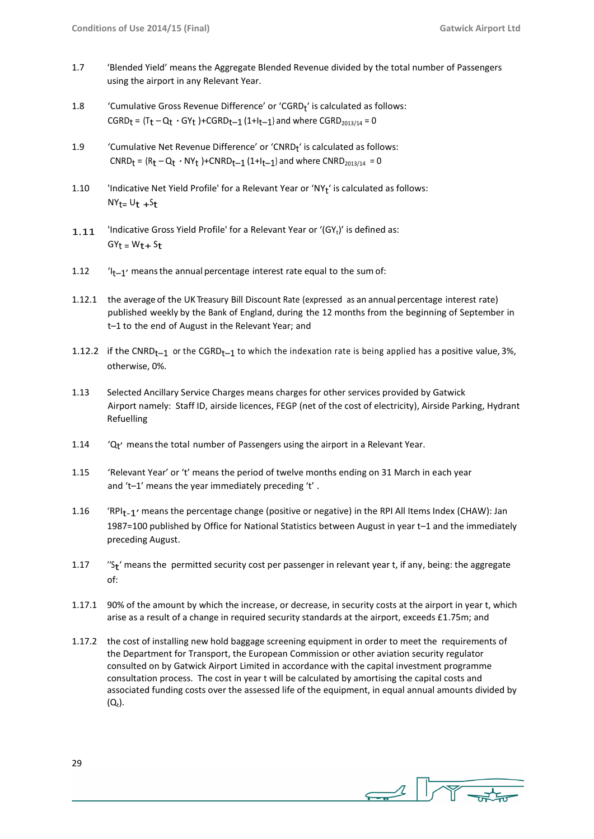- 1.7 'Blended Yield' means the Aggregate Blended Revenue divided by the total number of Passengers using the airport in any Relevant Year.
- 1.8  $\blacksquare$  'Cumulative Gross Revenue Difference' or 'CGRD<sub>t</sub>' is calculated as follows:  $CGRD_t = (T_t - Q_t \cdot GY_t) + CGRD_{t-1} (1+I_{t-1})$  and where  $CGRD_{2013/14} = 0$
- 1.9 Cumulative Net Revenue Difference' or 'CNRD<sub>t</sub>' is calculated as follows:  $CNRD_t = (R_t - Q_t \cdot NY_t) + CNRD_{t-1} (1+I_{t-1})$  and where  $CNRD_{2013/14} = 0$
- 1.10 Indicative Net Yield Profile' for a Relevant Year or 'NY<sub>t</sub>' is calculated as follows:  $NY_t = U_t + S_t$
- 1.11  $\blacksquare$  'Indicative Gross Yield Profile' for a Relevant Year or '(GY<sub>t</sub>)' is defined as:  $GY_t = W_t + S_t$
- 1.12  $\frac{1}{1}$  'I<sub>t-1</sub>' means the annual percentage interest rate equal to the sum of:
- 1.12.1 the average of the UK Treasury Bill Discount Rate (expressed as an annual percentage interest rate) published weekly by the Bank of England, during the 12 months from the beginning of September in t–1 to the end of August in the Relevant Year; and
- 1.12.2 if the CNRD<sub>t-1</sub> or the CGRD<sub>t-1</sub> to which the indexation rate is being applied has a positive value, 3%, otherwise, 0%.
- 1.13 Selected Ancillary Service Charges means charges for other services provided by Gatwick Airport namely: Staff ID, airside licences, FEGP (net of the cost of electricity), Airside Parking, Hydrant Refuelling
- 1.14  $Q_t$ <sup>,</sup> means the total number of Passengers using the airport in a Relevant Year.
- 1.15 'Relevant Year' or 't' means the period of twelve months ending on 31 March in each year and 't–1' means the year immediately preceding 't' .
- 1.16 'RPIt-1' means the percentage change (positive or negative) in the RPI All Items Index (CHAW): Jan 1987=100 published by Office for National Statistics between August in year t–1 and the immediately preceding August.
- $1.17$ " $S_t$ ' means the permitted security cost per passenger in relevant year t, if any, being: the aggregate of:
- 1.17.1 90% of the amount by which the increase, or decrease, in security costs at the airport in year t, which arise as a result of a change in required security standards at the airport, exceeds £1.75m; and
- 1.17.2 the cost of installing new hold baggage screening equipment in order to meet the requirements of the Department for Transport, the European Commission or other aviation security regulator consulted on by Gatwick Airport Limited in accordance with the capital investment programme consultation process. The cost in year t will be calculated by amortising the capital costs and associated funding costs over the assessed life of the equipment, in equal annual amounts divided by  $(Q_t)$ .

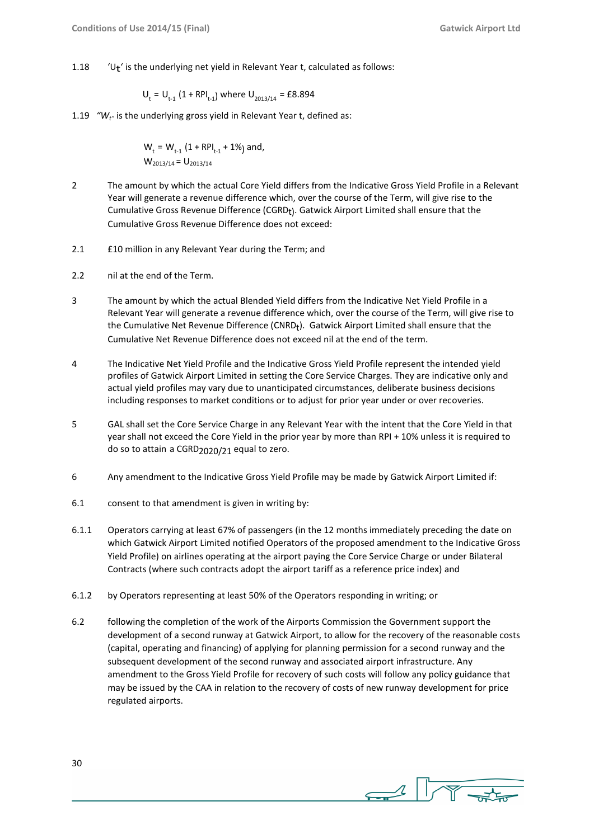$1.18$  $U_t$ ' is the underlying net yield in Relevant Year t, calculated as follows:

$$
U_t = U_{t-1} (1 + RPI_{t-1})
$$
 where  $U_{2013/14} = \text{\pounds}8.894$ 

1.19 *"Wt"* is the underlying gross yield in Relevant Year t, defined as:

$$
W_t = W_{t-1} (1 + RPI_{t-1} + 1\%)
$$
 and,  
 $W_{2013/14} = U_{2013/14}$ 

- 2 The amount by which the actual Core Yield differs from the Indicative Gross Yield Profile in a Relevant Year will generate a revenue difference which, over the course of the Term, will give rise to the Cumulative Gross Revenue Difference (CGRDt). Gatwick Airport Limited shall ensure that the Cumulative Gross Revenue Difference does not exceed:
- 2.1 £10 million in any Relevant Year during the Term; and
- 2.2 nil at the end of the Term.
- 3 The amount by which the actual Blended Yield differs from the Indicative Net Yield Profile in a Relevant Year will generate a revenue difference which, over the course of the Term, will give rise to the Cumulative Net Revenue Difference (CNRD<sub>t</sub>). Gatwick Airport Limited shall ensure that the Cumulative Net Revenue Difference does not exceed nil at the end of the term.
- 4 The Indicative Net Yield Profile and the Indicative Gross Yield Profile represent the intended yield profiles of Gatwick Airport Limited in setting the Core Service Charges. They are indicative only and actual yield profiles may vary due to unanticipated circumstances, deliberate business decisions including responses to market conditions or to adjust for prior year under or over recoveries.
- 5 GAL shall set the Core Service Charge in any Relevant Year with the intent that the Core Yield in that year shall not exceed the Core Yield in the prior year by more than RPI + 10% unless it is required to do so to attain a CGRD2020/21 equal to zero.
- 6 Any amendment to the Indicative Gross Yield Profile may be made by Gatwick Airport Limited if:
- 6.1 consent to that amendment is given in writing by:
- 6.1.1 Operators carrying at least 67% of passengers (in the 12 months immediately preceding the date on which Gatwick Airport Limited notified Operators of the proposed amendment to the Indicative Gross Yield Profile) on airlines operating at the airport paying the Core Service Charge or under Bilateral Contracts (where such contracts adopt the airport tariff as a reference price index) and
- 6.1.2 by Operators representing at least 50% of the Operators responding in writing; or
- 6.2 following the completion of the work of the Airports Commission the Government support the development of a second runway at Gatwick Airport, to allow for the recovery of the reasonable costs (capital, operating and financing) of applying for planning permission for a second runway and the subsequent development of the second runway and associated airport infrastructure. Any amendment to the Gross Yield Profile for recovery of such costs will follow any policy guidance that may be issued by the CAA in relation to the recovery of costs of new runway development for price regulated airports.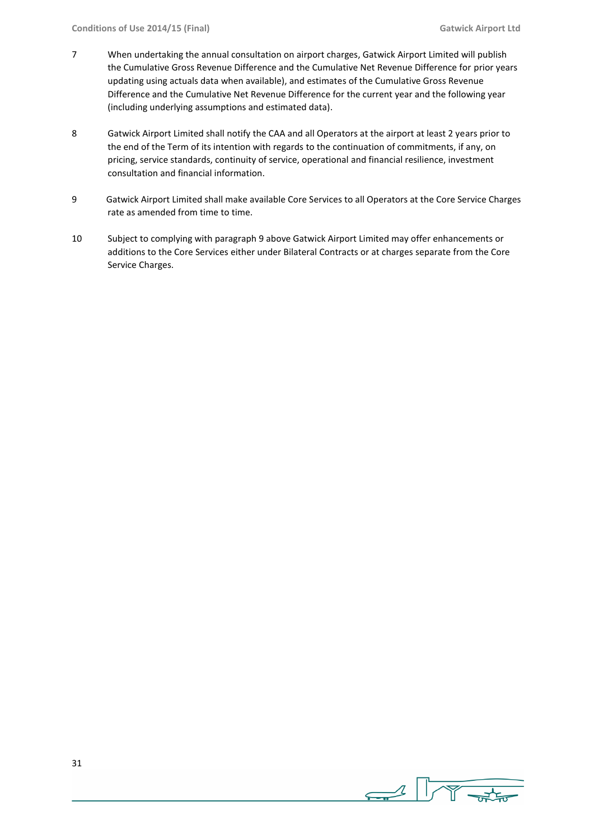- 7 When undertaking the annual consultation on airport charges, Gatwick Airport Limited will publish the Cumulative Gross Revenue Difference and the Cumulative Net Revenue Difference for prior years updating using actuals data when available), and estimates of the Cumulative Gross Revenue Difference and the Cumulative Net Revenue Difference for the current year and the following year (including underlying assumptions and estimated data).
- 8 Gatwick Airport Limited shall notify the CAA and all Operators at the airport at least 2 years prior to the end of the Term of its intention with regards to the continuation of commitments, if any, on pricing, service standards, continuity of service, operational and financial resilience, investment consultation and financial information.
- 9 Gatwick Airport Limited shall make available Core Services to all Operators at the Core Service Charges rate as amended from time to time.
- 10 Subject to complying with paragraph 9 above Gatwick Airport Limited may offer enhancements or additions to the Core Services either under Bilateral Contracts or at charges separate from the Core Service Charges.

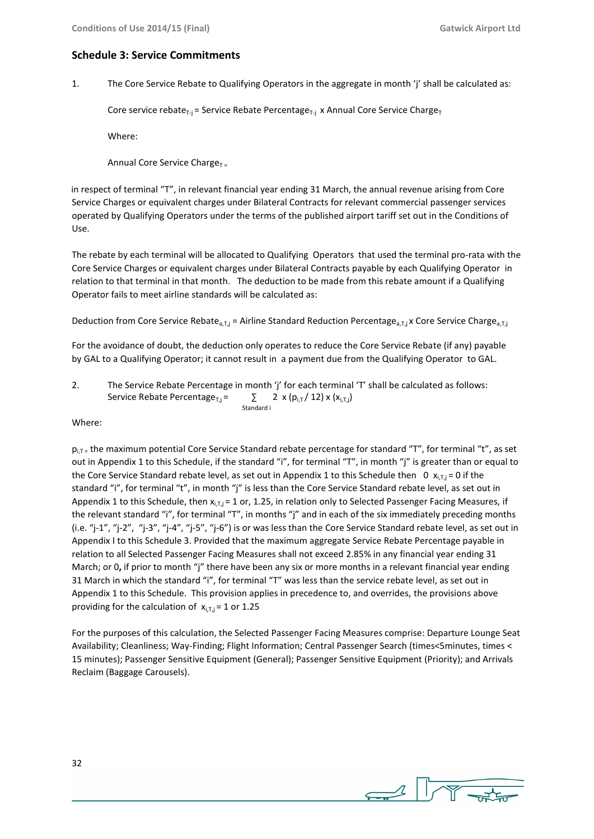#### **Schedule 3: Service Commitments**

1. The Core Service Rebate to Qualifying Operators in the aggregate in month 'j' shall be calculated as:

Core service rebate<sub>T-j</sub> = Service Rebate Percentage<sub>T-j</sub> x Annual Core Service Charge<sub>T</sub>

Where:

Annual Core Service Charge $T =$ 

in respect of terminal "T", in relevant financial year ending 31 March, the annual revenue arising from Core Service Charges or equivalent charges under Bilateral Contracts for relevant commercial passenger services operated by Qualifying Operators under the terms of the published airport tariff set out in the Conditions of Use.

The rebate by each terminal will be allocated to Qualifying Operators that used the terminal pro-rata with the Core Service Charges or equivalent charges under Bilateral Contracts payable by each Qualifying Operator in relation to that terminal in that month. The deduction to be made from this rebate amount if a Qualifying Operator fails to meet airline standards will be calculated as:

Deduction from Core Service Rebate<sub>a,T,j</sub> = Airline Standard Reduction Percentage<sub>a,T,j</sub> x Core Service Charge<sub>a,T,j</sub>

For the avoidance of doubt, the deduction only operates to reduce the Core Service Rebate (if any) payable by GAL to a Qualifying Operator; it cannot result in a payment due from the Qualifying Operator to GAL.

2. The Service Rebate Percentage in month 'j' for each terminal 'T' shall be calculated as follows: Service Rebate Percentage<sub>T,j</sub> =  $\qquad \qquad \sum 2 \times (p_{i,T}/12) \times (x_{i,T,j})$ Standard i

Where:

 $p_{i,T}$  the maximum potential Core Service Standard rebate percentage for standard "T", for terminal "t", as set out in Appendix 1 to this Schedule, if the standard "i", for terminal "T", in month "j" is greater than or equal to the Core Service Standard rebate level, as set out in Appendix 1 to this Schedule then 0  $x_{i}$ ,  $= 0$  if the standard "i", for terminal "t", in month "j" is less than the Core Service Standard rebate level, as set out in Appendix 1 to this Schedule, then  $x_{i,T,i} = 1$  or, 1.25, in relation only to Selected Passenger Facing Measures, if the relevant standard "i", for terminal "T", in months "j" and in each of the six immediately preceding months (i.e. "j-1", "j-2", "j-3", "j-4", "j-5", "j-6") is or was less than the Core Service Standard rebate level, as set out in Appendix I to this Schedule 3. Provided that the maximum aggregate Service Rebate Percentage payable in relation to all Selected Passenger Facing Measures shall not exceed 2.85% in any financial year ending 31 March; or 0**,** if prior to month "j" there have been any six or more months in a relevant financial year ending 31 March in which the standard "i", for terminal "T" was less than the service rebate level, as set out in Appendix 1 to this Schedule. This provision applies in precedence to, and overrides, the provisions above providing for the calculation of  $x_{i}$ <sub> $\bar{x}$ </sub> = 1 or 1.25

For the purposes of this calculation, the Selected Passenger Facing Measures comprise: Departure Lounge Seat Availability; Cleanliness; Way-Finding; Flight Information; Central Passenger Search (times<5minutes, times < 15 minutes); Passenger Sensitive Equipment (General); Passenger Sensitive Equipment (Priority); and Arrivals Reclaim (Baggage Carousels).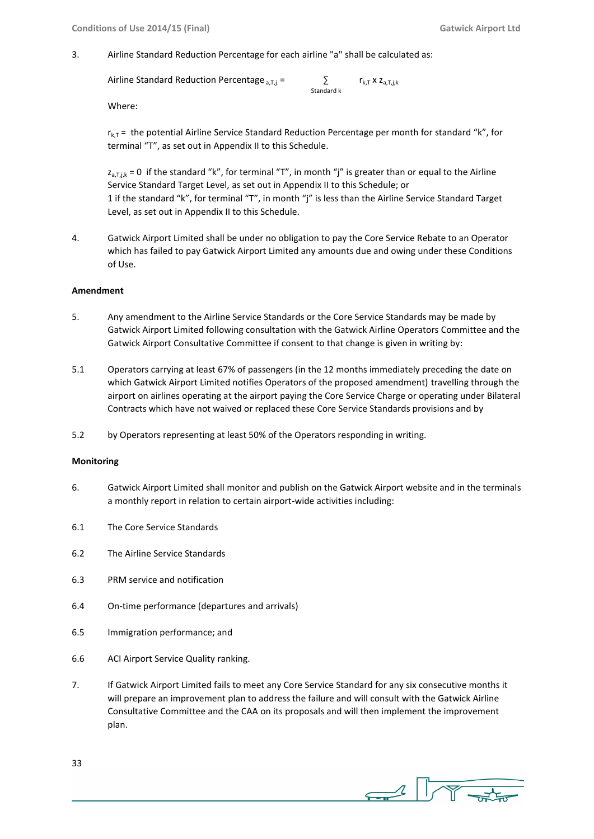3. Airline Standard Reduction Percentage for each airline "a" shall be calculated as:

```
Airline Standard Reduction Percentage _{a,T,j} = \qquad \qquad \sum_{k,T} x z_{a,T,j,k}
```
Standard k

Where:

 $r_{k,T}$  = the potential Airline Service Standard Reduction Percentage per month for standard "k", for terminal "T", as set out in Appendix II to this Schedule.

 $z_{a,Tik} = 0$  if the standard "k", for terminal "T", in month "j" is greater than or equal to the Airline Service Standard Target Level, as set out in Appendix II to this Schedule; or 1 if the standard "k", for terminal "T", in month "j" is less than the Airline Service Standard Target Level, as set out in Appendix II to this Schedule.

4. Gatwick Airport Limited shall be under no obligation to pay the Core Service Rebate to an Operator which has failed to pay Gatwick Airport Limited any amounts due and owing under these Conditions of Use.

#### **Amendment**

- 5. Any amendment to the Airline Service Standards or the Core Service Standards may be made by Gatwick Airport Limited following consultation with the Gatwick Airline Operators Committee and the Gatwick Airport Consultative Committee if consent to that change is given in writing by:
- 5.1 Operators carrying at least 67% of passengers (in the 12 months immediately preceding the date on which Gatwick Airport Limited notifies Operators of the proposed amendment) travelling through the airport on airlines operating at the airport paying the Core Service Charge or operating under Bilateral Contracts which have not waived or replaced these Core Service Standards provisions and by
- 5.2 by Operators representing at least 50% of the Operators responding in writing.

#### **Monitoring**

- 6. Gatwick Airport Limited shall monitor and publish on the Gatwick Airport website and in the terminals a monthly report in relation to certain airport-wide activities including:
- 6.1 The Core Service Standards
- 6.2 The Airline Service Standards
- 6.3 PRM service and notification
- 6.4 On-time performance (departures and arrivals)
- 6.5 Immigration performance; and
- 6.6 ACI Airport Service Quality ranking.
- 7. If Gatwick Airport Limited fails to meet any Core Service Standard for any six consecutive months it will prepare an improvement plan to address the failure and will consult with the Gatwick Airline Consultative Committee and the CAA on its proposals and will then implement the improvement plan.

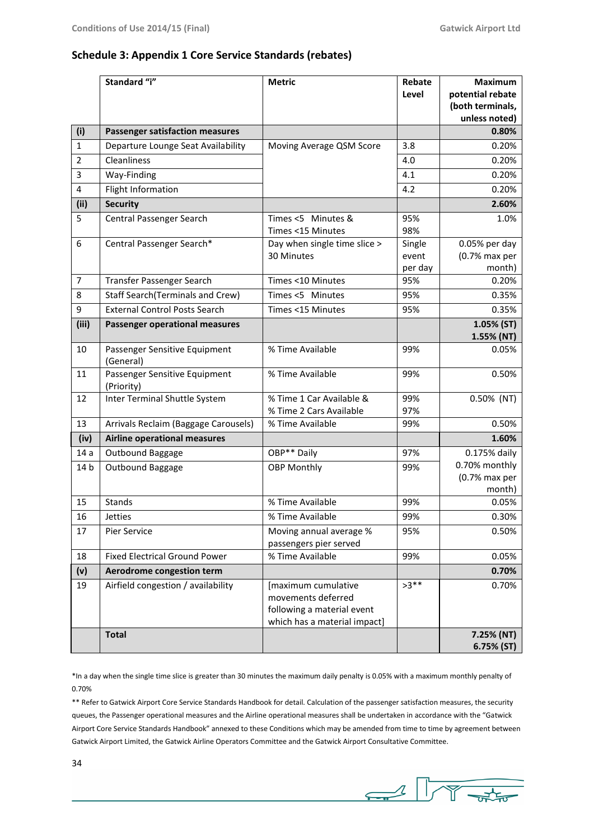#### **Schedule 3: Appendix 1 Core Service Standards (rebates)**

|                 | Standard "i"                                | <b>Metric</b>                                                                                           | Rebate<br>Level            | Maximum<br>potential rebate<br>(both terminals,<br>unless noted) |
|-----------------|---------------------------------------------|---------------------------------------------------------------------------------------------------------|----------------------------|------------------------------------------------------------------|
| (i)             | <b>Passenger satisfaction measures</b>      |                                                                                                         |                            | 0.80%                                                            |
| $\mathbf{1}$    | Departure Lounge Seat Availability          | Moving Average QSM Score                                                                                | 3.8                        | 0.20%                                                            |
| 2               | Cleanliness                                 |                                                                                                         | 4.0                        | 0.20%                                                            |
| 3               | Way-Finding                                 |                                                                                                         | 4.1                        | 0.20%                                                            |
| 4               | Flight Information                          |                                                                                                         | 4.2                        | 0.20%                                                            |
| (ii)            | <b>Security</b>                             |                                                                                                         |                            | 2.60%                                                            |
| 5               | Central Passenger Search                    | Times <5 Minutes &<br>Times <15 Minutes                                                                 | 95%<br>98%                 | 1.0%                                                             |
| 6               | Central Passenger Search*                   | Day when single time slice ><br>30 Minutes                                                              | Single<br>event<br>per day | 0.05% per day<br>(0.7% max per<br>month)                         |
| $\overline{7}$  | Transfer Passenger Search                   | Times <10 Minutes                                                                                       | 95%                        | 0.20%                                                            |
| 8               | <b>Staff Search (Terminals and Crew)</b>    | Times <5 Minutes                                                                                        | 95%                        | 0.35%                                                            |
| 9               | <b>External Control Posts Search</b>        | Times <15 Minutes                                                                                       | 95%                        | 0.35%                                                            |
| (iii)           | <b>Passenger operational measures</b>       |                                                                                                         |                            | 1.05% (ST)<br>1.55% (NT)                                         |
| 10              | Passenger Sensitive Equipment<br>(General)  | % Time Available                                                                                        | 99%                        | 0.05%                                                            |
| 11              | Passenger Sensitive Equipment<br>(Priority) | % Time Available                                                                                        | 99%                        | 0.50%                                                            |
| 12              | Inter Terminal Shuttle System               | % Time 1 Car Available &<br>% Time 2 Cars Available                                                     | 99%<br>97%                 | 0.50% (NT)                                                       |
| 13              | Arrivals Reclaim (Baggage Carousels)        | % Time Available                                                                                        | 99%                        | 0.50%                                                            |
| (iv)            | Airline operational measures                |                                                                                                         |                            | 1.60%                                                            |
| 14a             | Outbound Baggage                            | OBP** Daily                                                                                             | 97%                        | 0.175% daily                                                     |
| 14 <sub>b</sub> | Outbound Baggage                            | <b>OBP Monthly</b>                                                                                      | 99%                        | 0.70% monthly<br>$(0.7%$ max per<br>month)                       |
| 15              | Stands                                      | % Time Available                                                                                        | 99%                        | 0.05%                                                            |
| 16              | Jetties                                     | % Time Available                                                                                        | 99%                        | 0.30%                                                            |
| 17              | Pier Service                                | Moving annual average %<br>passengers pier served                                                       | 95%                        | 0.50%                                                            |
| 18              | <b>Fixed Electrical Ground Power</b>        | % Time Available                                                                                        | 99%                        | 0.05%                                                            |
| (v)             | Aerodrome congestion term                   |                                                                                                         |                            | 0.70%                                                            |
| 19              | Airfield congestion / availability          | [maximum cumulative<br>movements deferred<br>following a material event<br>which has a material impact] | $>3**$                     | 0.70%                                                            |
|                 | <b>Total</b>                                |                                                                                                         |                            | 7.25% (NT)<br>6.75% (ST)                                         |

\*In a day when the single time slice is greater than 30 minutes the maximum daily penalty is 0.05% with a maximum monthly penalty of 0.70%

\*\* Refer to Gatwick Airport Core Service Standards Handbook for detail. Calculation of the passenger satisfaction measures, the security queues, the Passenger operational measures and the Airline operational measures shall be undertaken in accordance with the "Gatwick Airport Core Service Standards Handbook" annexed to these Conditions which may be amended from time to time by agreement between Gatwick Airport Limited, the Gatwick Airline Operators Committee and the Gatwick Airport Consultative Committee.

 $\begin{picture}(100,10) \put(0,0){\line(1,0){10}} \put(15,0){\line(1,0){10}} \put(15,0){\line(1,0){10}} \put(15,0){\line(1,0){10}} \put(15,0){\line(1,0){10}} \put(15,0){\line(1,0){10}} \put(15,0){\line(1,0){10}} \put(15,0){\line(1,0){10}} \put(15,0){\line(1,0){10}} \put(15,0){\line(1,0){10}} \put(15,0){\line(1,0){10}} \put(15,0){\line($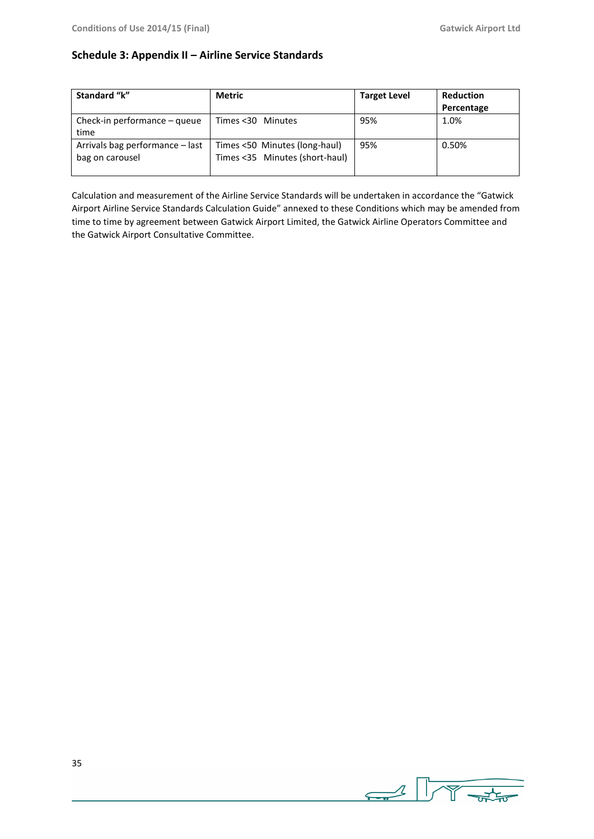### **Schedule 3: Appendix II – Airline Service Standards**

| Standard "k"                                       | <b>Metric</b>                                                   | <b>Target Level</b> | <b>Reduction</b> |
|----------------------------------------------------|-----------------------------------------------------------------|---------------------|------------------|
|                                                    |                                                                 |                     | Percentage       |
| Check-in performance $-$ queue                     | Times <30 Minutes                                               | 95%                 | 1.0%             |
| time                                               |                                                                 |                     |                  |
| Arrivals bag performance - last<br>bag on carousel | Times <50 Minutes (long-haul)<br>Times <35 Minutes (short-haul) | 95%                 | 0.50%            |

Calculation and measurement of the Airline Service Standards will be undertaken in accordance the "Gatwick Airport Airline Service Standards Calculation Guide" annexed to these Conditions which may be amended from time to time by agreement between Gatwick Airport Limited, the Gatwick Airline Operators Committee and the Gatwick Airport Consultative Committee.

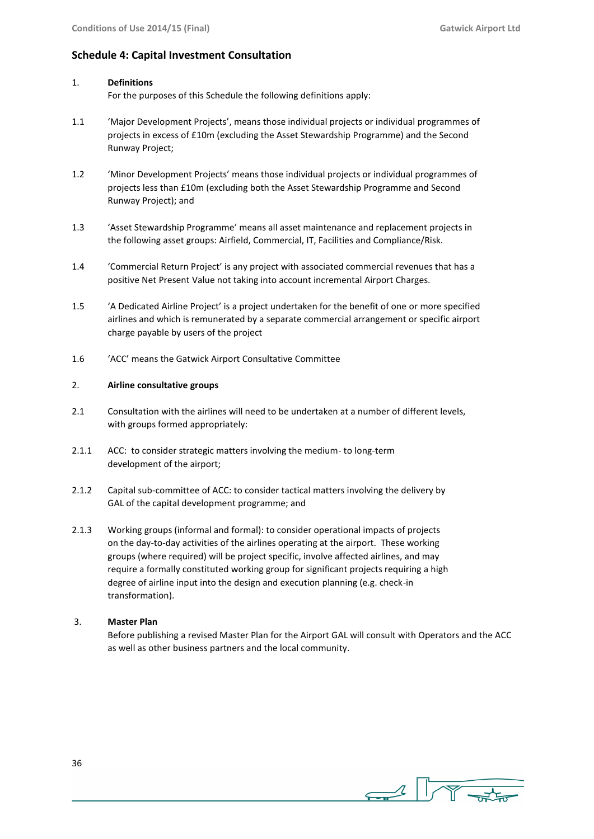### **Schedule 4: Capital Investment Consultation**

#### 1. **Definitions**

For the purposes of this Schedule the following definitions apply:

- 1.1 'Major Development Projects', means those individual projects or individual programmes of projects in excess of £10m (excluding the Asset Stewardship Programme) and the Second Runway Project;
- 1.2 'Minor Development Projects' means those individual projects or individual programmes of projects less than £10m (excluding both the Asset Stewardship Programme and Second Runway Project); and
- 1.3 'Asset Stewardship Programme' means all asset maintenance and replacement projects in the following asset groups: Airfield, Commercial, IT, Facilities and Compliance/Risk.
- 1.4 'Commercial Return Project' is any project with associated commercial revenues that has a positive Net Present Value not taking into account incremental Airport Charges.
- 1.5 'A Dedicated Airline Project' is a project undertaken for the benefit of one or more specified airlines and which is remunerated by a separate commercial arrangement or specific airport charge payable by users of the project
- 1.6 'ACC' means the Gatwick Airport Consultative Committee

#### 2. **Airline consultative groups**

- 2.1 Consultation with the airlines will need to be undertaken at a number of different levels, with groups formed appropriately:
- 2.1.1 ACC: to consider strategic matters involving the medium- to long-term development of the airport;
- 2.1.2 Capital sub-committee of ACC: to consider tactical matters involving the delivery by GAL of the capital development programme; and
- 2.1.3 Working groups (informal and formal): to consider operational impacts of projects on the day-to-day activities of the airlines operating at the airport. These working groups (where required) will be project specific, involve affected airlines, and may require a formally constituted working group for significant projects requiring a high degree of airline input into the design and execution planning (e.g. check-in transformation).

#### 3. **Master Plan**

Before publishing a revised Master Plan for the Airport GAL will consult with Operators and the ACC as well as other business partners and the local community.

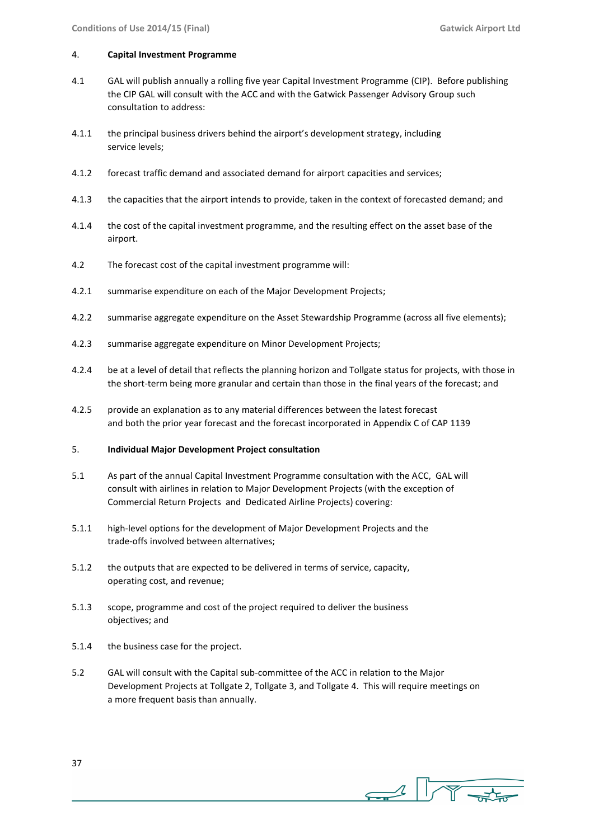#### 4. **Capital Investment Programme**

- 4.1 GAL will publish annually a rolling five year Capital Investment Programme (CIP). Before publishing the CIP GAL will consult with the ACC and with the Gatwick Passenger Advisory Group such consultation to address:
- 4.1.1 the principal business drivers behind the airport's development strategy, including service levels;
- 4.1.2 forecast traffic demand and associated demand for airport capacities and services;
- 4.1.3 the capacities that the airport intends to provide, taken in the context of forecasted demand; and
- 4.1.4 the cost of the capital investment programme, and the resulting effect on the asset base of the airport.
- 4.2 The forecast cost of the capital investment programme will:
- 4.2.1 summarise expenditure on each of the Major Development Projects;
- 4.2.2 summarise aggregate expenditure on the Asset Stewardship Programme (across all five elements);
- 4.2.3 summarise aggregate expenditure on Minor Development Projects;
- 4.2.4 be at a level of detail that reflects the planning horizon and Tollgate status for projects, with those in the short-term being more granular and certain than those in the final years of the forecast; and
- 4.2.5 provide an explanation as to any material differences between the latest forecast and both the prior year forecast and the forecast incorporated in Appendix C of CAP 1139

#### 5. **Individual Major Development Project consultation**

- 5.1 As part of the annual Capital Investment Programme consultation with the ACC, GAL will consult with airlines in relation to Major Development Projects (with the exception of Commercial Return Projects and Dedicated Airline Projects) covering:
- 5.1.1 high-level options for the development of Major Development Projects and the trade-offs involved between alternatives;
- 5.1.2 the outputs that are expected to be delivered in terms of service, capacity, operating cost, and revenue;
- 5.1.3 scope, programme and cost of the project required to deliver the business objectives; and
- 5.1.4 the business case for the project.
- 5.2 GAL will consult with the Capital sub-committee of the ACC in relation to the Major Development Projects at Tollgate 2, Tollgate 3, and Tollgate 4. This will require meetings on a more frequent basis than annually.

 $\frac{1}{\sqrt{1-\frac{1}{2}}\sqrt{1-\frac{1}{2}}\sqrt{1-\frac{1}{2}}\sqrt{1-\frac{1}{2}}}}$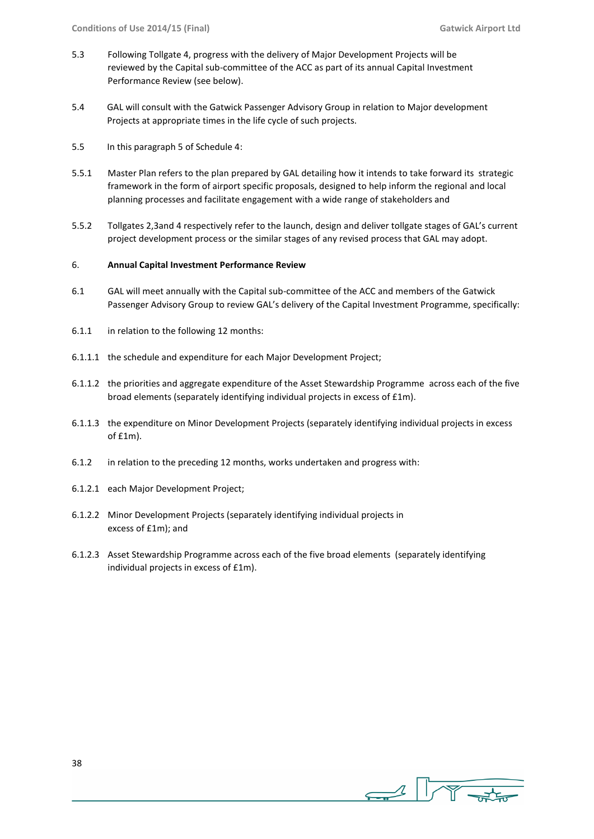- 5.3 Following Tollgate 4, progress with the delivery of Major Development Projects will be reviewed by the Capital sub-committee of the ACC as part of its annual Capital Investment Performance Review (see below).
- 5.4 GAL will consult with the Gatwick Passenger Advisory Group in relation to Major development Projects at appropriate times in the life cycle of such projects.
- 5.5 In this paragraph 5 of Schedule 4:
- 5.5.1 Master Plan refers to the plan prepared by GAL detailing how it intends to take forward its strategic framework in the form of airport specific proposals, designed to help inform the regional and local planning processes and facilitate engagement with a wide range of stakeholders and
- 5.5.2 Tollgates 2,3and 4 respectively refer to the launch, design and deliver tollgate stages of GAL's current project development process or the similar stages of any revised process that GAL may adopt.

#### 6. **Annual Capital Investment Performance Review**

- 6.1 GAL will meet annually with the Capital sub-committee of the ACC and members of the Gatwick Passenger Advisory Group to review GAL's delivery of the Capital Investment Programme, specifically:
- 6.1.1 in relation to the following 12 months:
- 6.1.1.1 the schedule and expenditure for each Major Development Project;
- 6.1.1.2 the priorities and aggregate expenditure of the Asset Stewardship Programme across each of the five broad elements (separately identifying individual projects in excess of £1m).
- 6.1.1.3 the expenditure on Minor Development Projects (separately identifying individual projects in excess of £1m).
- 6.1.2 in relation to the preceding 12 months, works undertaken and progress with:
- 6.1.2.1 each Major Development Project;
- 6.1.2.2 Minor Development Projects (separately identifying individual projects in excess of £1m); and
- 6.1.2.3 Asset Stewardship Programme across each of the five broad elements (separately identifying individual projects in excess of £1m).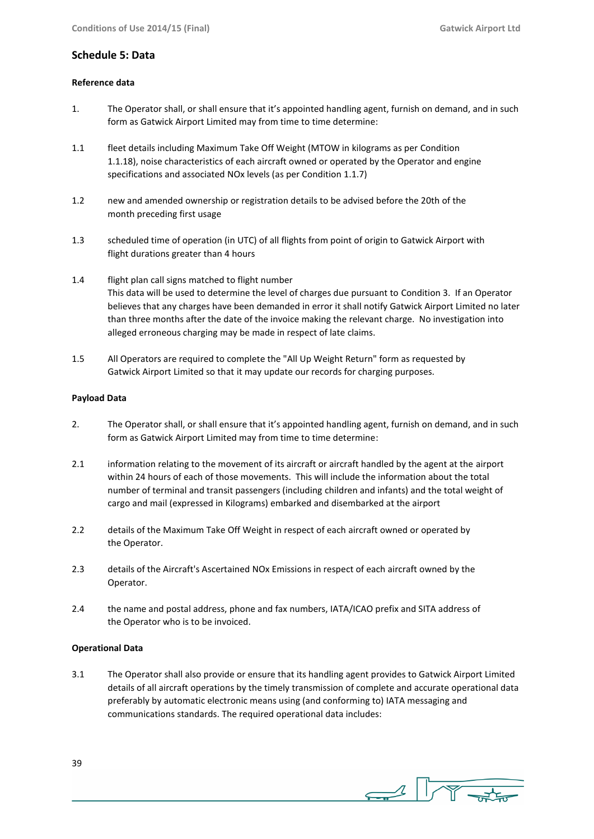#### **Schedule 5: Data**

#### **Reference data**

- 1. The Operator shall, or shall ensure that it's appointed handling agent, furnish on demand, and in such form as Gatwick Airport Limited may from time to time determine:
- 1.1 fleet details including Maximum Take Off Weight (MTOW in kilograms as per Condition 1.1.18), noise characteristics of each aircraft owned or operated by the Operator and engine specifications and associated NOx levels (as per Condition 1.1.7)
- 1.2 new and amended ownership or registration details to be advised before the 20th of the month preceding first usage
- 1.3 scheduled time of operation (in UTC) of all flights from point of origin to Gatwick Airport with flight durations greater than 4 hours
- 1.4 flight plan call signs matched to flight number This data will be used to determine the level of charges due pursuant to Condition 3. If an Operator believes that any charges have been demanded in error it shall notify Gatwick Airport Limited no later than three months after the date of the invoice making the relevant charge. No investigation into alleged erroneous charging may be made in respect of late claims.
- 1.5 All Operators are required to complete the "All Up Weight Return" form as requested by Gatwick Airport Limited so that it may update our records for charging purposes.

#### **Payload Data**

- 2. The Operator shall, or shall ensure that it's appointed handling agent, furnish on demand, and in such form as Gatwick Airport Limited may from time to time determine:
- 2.1 information relating to the movement of its aircraft or aircraft handled by the agent at the airport within 24 hours of each of those movements. This will include the information about the total number of terminal and transit passengers (including children and infants) and the total weight of cargo and mail (expressed in Kilograms) embarked and disembarked at the airport
- 2.2 details of the Maximum Take Off Weight in respect of each aircraft owned or operated by the Operator.
- 2.3 details of the Aircraft's Ascertained NOx Emissions in respect of each aircraft owned by the Operator.
- 2.4 the name and postal address, phone and fax numbers, IATA/ICAO prefix and SITA address of the Operator who is to be invoiced.

#### **Operational Data**

3.1 The Operator shall also provide or ensure that its handling agent provides to Gatwick Airport Limited details of all aircraft operations by the timely transmission of complete and accurate operational data preferably by automatic electronic means using (and conforming to) IATA messaging and communications standards. The required operational data includes:

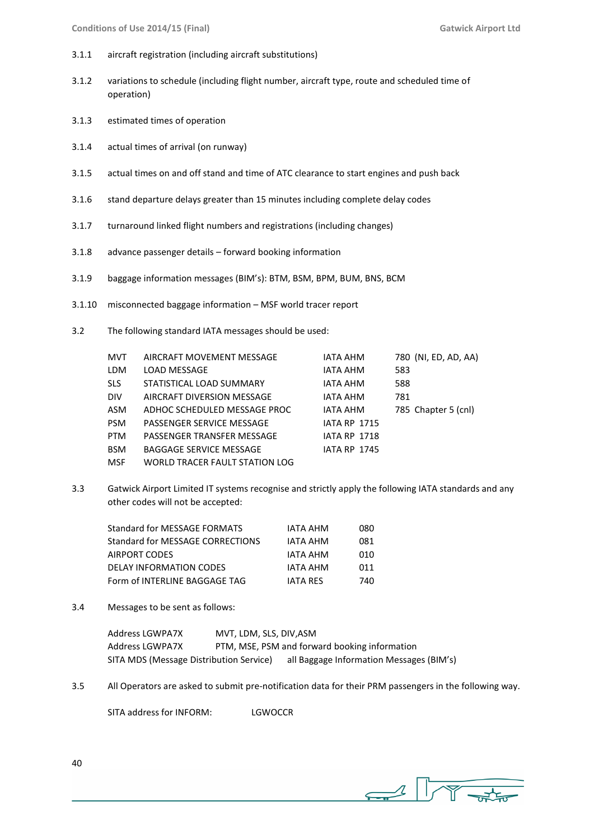- 3.1.1 aircraft registration (including aircraft substitutions)
- 3.1.2 variations to schedule (including flight number, aircraft type, route and scheduled time of operation)
- 3.1.3 estimated times of operation
- 3.1.4 actual times of arrival (on runway)
- 3.1.5 actual times on and off stand and time of ATC clearance to start engines and push back
- 3.1.6 stand departure delays greater than 15 minutes including complete delay codes
- 3.1.7 turnaround linked flight numbers and registrations (including changes)
- 3.1.8 advance passenger details forward booking information
- 3.1.9 baggage information messages (BIM's): BTM, BSM, BPM, BUM, BNS, BCM
- 3.1.10 misconnected baggage information MSF world tracer report
- 3.2 The following standard IATA messages should be used:

| MVT        | AIRCRAFT MOVEMENT MESSAGE      | <b>IATA AHM</b>     | 780 (NI, ED, AD, AA) |
|------------|--------------------------------|---------------------|----------------------|
| LDM        | LOAD MESSAGE                   | <b>IATA AHM</b>     | 583                  |
| <b>SLS</b> | STATISTICAL LOAD SUMMARY       | <b>IATA AHM</b>     | 588                  |
| <b>DIV</b> | AIRCRAFT DIVERSION MESSAGE     | <b>IATA AHM</b>     | 781                  |
| ASM        | ADHOC SCHEDULED MESSAGE PROC   | <b>IATA AHM</b>     | 785 Chapter 5 (cnl)  |
| <b>PSM</b> | PASSENGER SERVICE MESSAGE      | <b>IATA RP 1715</b> |                      |
| <b>PTM</b> | PASSENGER TRANSFER MESSAGE     | <b>IATA RP 1718</b> |                      |
| <b>BSM</b> | <b>BAGGAGE SERVICE MESSAGE</b> | <b>IATA RP 1745</b> |                      |
| MSF        | WORLD TRACER FAULT STATION LOG |                     |                      |

3.3 Gatwick Airport Limited IT systems recognise and strictly apply the following IATA standards and any other codes will not be accepted:

| <b>Standard for MESSAGE FORMATS</b>     | IATA AHM        | 080 |
|-----------------------------------------|-----------------|-----|
| <b>Standard for MESSAGE CORRECTIONS</b> | IATA AHM        | 081 |
| AIRPORT CODES                           | IATA AHM        | 010 |
| <b>DELAY INFORMATION CODES</b>          | <b>IATA AHM</b> | 011 |
| Form of INTERLINE BAGGAGE TAG           | <b>JATA RES</b> | 740 |

3.4 Messages to be sent as follows:

| Address LGWPA7X                         | MVT, LDM, SLS, DIV, ASM |                                               |
|-----------------------------------------|-------------------------|-----------------------------------------------|
| Address LGWPA7X                         |                         | PTM, MSE, PSM and forward booking information |
| SITA MDS (Message Distribution Service) |                         | all Baggage Information Messages (BIM's)      |

3.5 All Operators are asked to submit pre-notification data for their PRM passengers in the following way.

SITA address for INFORM: LGWOCCR

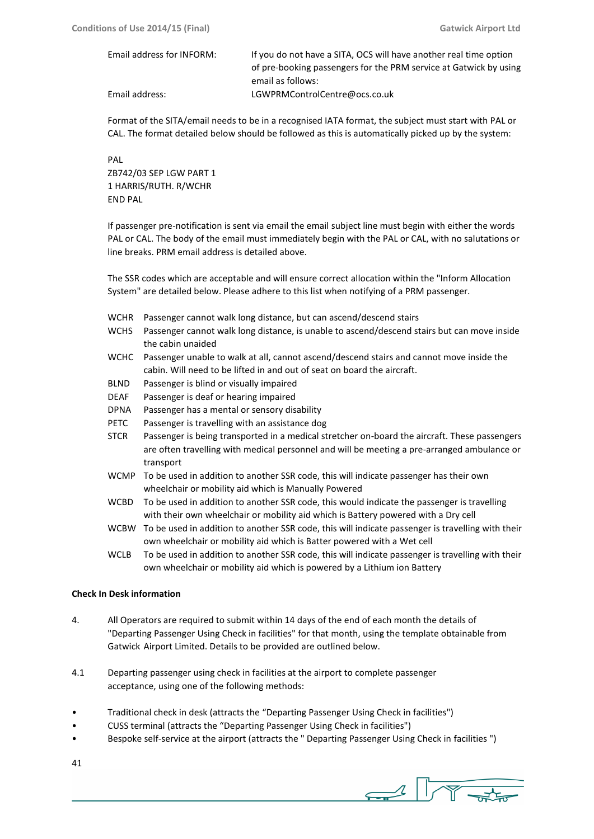| Email address for INFORM: | If you do not have a SITA, OCS will have another real time option |  |
|---------------------------|-------------------------------------------------------------------|--|
|                           | of pre-booking passengers for the PRM service at Gatwick by using |  |
|                           | email as follows:                                                 |  |
| Email address:            | LGWPRMControlCentre@ocs.co.uk                                     |  |

Format of the SITA/email needs to be in a recognised IATA format, the subject must start with PAL or CAL. The format detailed below should be followed as this is automatically picked up by the system:

PAL ZB742/03 SEP LGW PART 1 1 HARRIS/RUTH. R/WCHR END PAL

If passenger pre-notification is sent via email the email subject line must begin with either the words PAL or CAL. The body of the email must immediately begin with the PAL or CAL, with no salutations or line breaks. PRM email address is detailed above.

The SSR codes which are acceptable and will ensure correct allocation within the "Inform Allocation System" are detailed below. Please adhere to this list when notifying of a PRM passenger.

- WCHR Passenger cannot walk long distance, but can ascend/descend stairs
- WCHS Passenger cannot walk long distance, is unable to ascend/descend stairs but can move inside the cabin unaided
- WCHC Passenger unable to walk at all, cannot ascend/descend stairs and cannot move inside the cabin. Will need to be lifted in and out of seat on board the aircraft.
- BLND Passenger is blind or visually impaired
- DEAF Passenger is deaf or hearing impaired
- DPNA Passenger has a mental or sensory disability
- PETC Passenger is travelling with an assistance dog
- STCR Passenger is being transported in a medical stretcher on-board the aircraft. These passengers are often travelling with medical personnel and will be meeting a pre-arranged ambulance or transport
- WCMP To be used in addition to another SSR code, this will indicate passenger has their own wheelchair or mobility aid which is Manually Powered
- WCBD To be used in addition to another SSR code, this would indicate the passenger is travelling with their own wheelchair or mobility aid which is Battery powered with a Dry cell
- WCBW To be used in addition to another SSR code, this will indicate passenger is travelling with their own wheelchair or mobility aid which is Batter powered with a Wet cell
- WCLB To be used in addition to another SSR code, this will indicate passenger is travelling with their own wheelchair or mobility aid which is powered by a Lithium ion Battery

#### **Check In Desk information**

- 4. All Operators are required to submit within 14 days of the end of each month the details of "Departing Passenger Using Check in facilities" for that month, using the template obtainable from Gatwick Airport Limited. Details to be provided are outlined below.
- 4.1 Departing passenger using check in facilities at the airport to complete passenger acceptance, using one of the following methods:
- Traditional check in desk (attracts the "Departing Passenger Using Check in facilities")
- CUSS terminal (attracts the "Departing Passenger Using Check in facilities")
- Bespoke self-service at the airport (attracts the " Departing Passenger Using Check in facilities ")
- 41